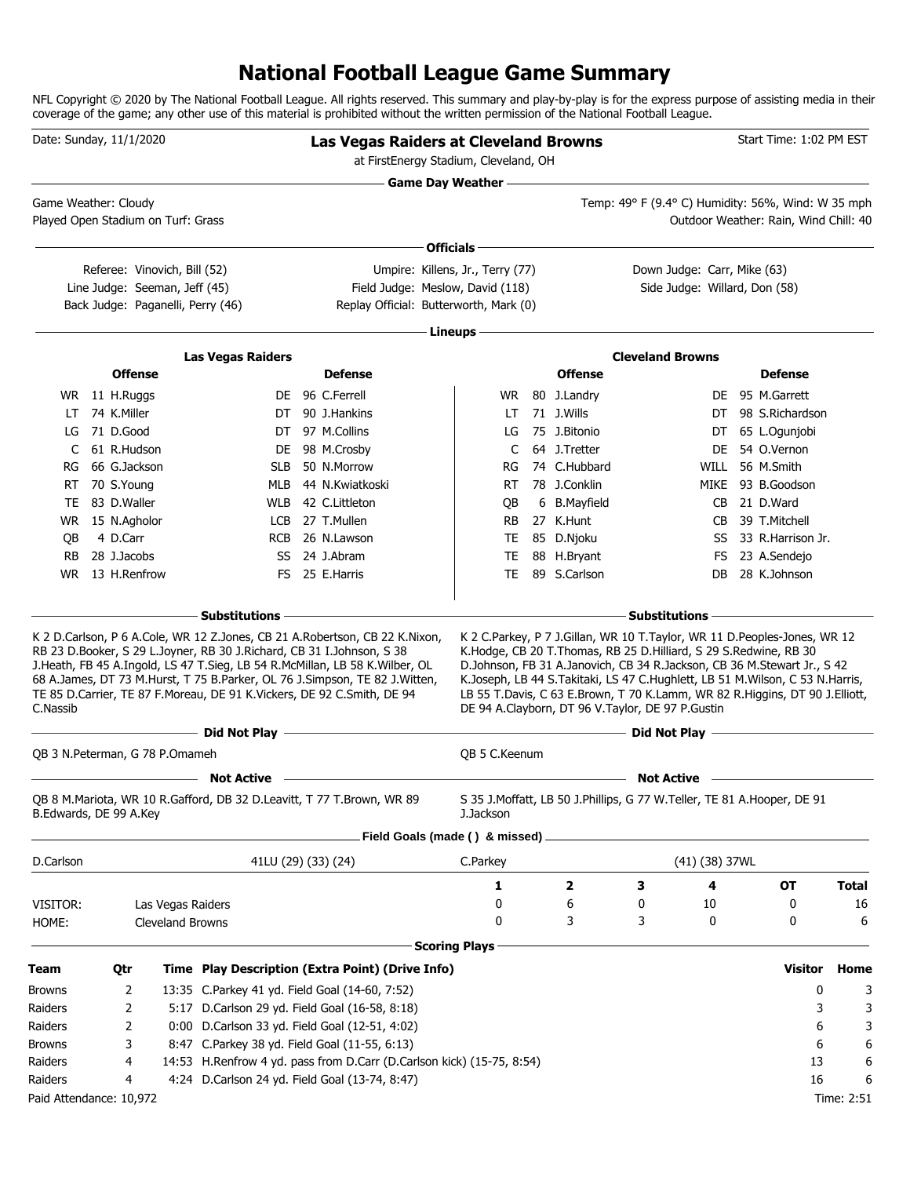### **National Football League Game Summary**

NFL Copyright © 2020 by The National Football League. All rights reserved. This summary and play-by-play is for the express purpose of assisting media in their coverage of the game; any other use of this material is prohibited without the written permission of the National Football League.

| Date: Sunday, 11/1/2020 |                 |                                    |                                                                                                                                                 | <b>Las Vegas Raiders at Cleveland Browns</b><br>at FirstEnergy Stadium, Cleveland, OH                                                                                                                                                    |                                  |                |                                                                                                                      |                    | Start Time: 1:02 PM EST                                                                                                                                                                                                                                                                                                |            |
|-------------------------|-----------------|------------------------------------|-------------------------------------------------------------------------------------------------------------------------------------------------|------------------------------------------------------------------------------------------------------------------------------------------------------------------------------------------------------------------------------------------|----------------------------------|----------------|----------------------------------------------------------------------------------------------------------------------|--------------------|------------------------------------------------------------------------------------------------------------------------------------------------------------------------------------------------------------------------------------------------------------------------------------------------------------------------|------------|
| Game Weather: Cloudy    |                 |                                    |                                                                                                                                                 |                                                                                                                                                                                                                                          | <b>Game Day Weather —</b>        |                |                                                                                                                      |                    | Temp: 49° F (9.4° C) Humidity: 56%, Wind: W 35 mph                                                                                                                                                                                                                                                                     |            |
|                         |                 | Played Open Stadium on Turf: Grass |                                                                                                                                                 |                                                                                                                                                                                                                                          |                                  |                |                                                                                                                      |                    | Outdoor Weather: Rain, Wind Chill: 40                                                                                                                                                                                                                                                                                  |            |
|                         |                 |                                    |                                                                                                                                                 |                                                                                                                                                                                                                                          | Officials-                       |                |                                                                                                                      |                    |                                                                                                                                                                                                                                                                                                                        |            |
|                         |                 | Referee: Vinovich, Bill (52)       |                                                                                                                                                 |                                                                                                                                                                                                                                          | Umpire: Killens, Jr., Terry (77) |                | Down Judge: Carr, Mike (63)                                                                                          |                    |                                                                                                                                                                                                                                                                                                                        |            |
|                         |                 | Line Judge: Seeman, Jeff (45)      |                                                                                                                                                 | Field Judge: Meslow, David (118)                                                                                                                                                                                                         |                                  |                | Side Judge: Willard, Don (58)                                                                                        |                    |                                                                                                                                                                                                                                                                                                                        |            |
|                         |                 | Back Judge: Paganelli, Perry (46)  |                                                                                                                                                 | Replay Official: Butterworth, Mark (0)                                                                                                                                                                                                   |                                  |                |                                                                                                                      |                    |                                                                                                                                                                                                                                                                                                                        |            |
|                         |                 |                                    |                                                                                                                                                 |                                                                                                                                                                                                                                          | Lineups -                        |                |                                                                                                                      |                    |                                                                                                                                                                                                                                                                                                                        |            |
|                         |                 |                                    | <b>Las Vegas Raiders</b>                                                                                                                        |                                                                                                                                                                                                                                          |                                  |                | <b>Cleveland Browns</b>                                                                                              |                    |                                                                                                                                                                                                                                                                                                                        |            |
|                         |                 | <b>Offense</b>                     |                                                                                                                                                 | <b>Defense</b>                                                                                                                                                                                                                           |                                  | <b>Offense</b> |                                                                                                                      |                    | <b>Defense</b>                                                                                                                                                                                                                                                                                                         |            |
|                         | WR 11 H.Ruggs   |                                    |                                                                                                                                                 | DE 96 C.Ferrell                                                                                                                                                                                                                          | WR.                              | 80 J.Landry    |                                                                                                                      |                    | DE 95 M.Garrett                                                                                                                                                                                                                                                                                                        |            |
| LT.                     | 74 K.Miller     |                                    |                                                                                                                                                 | DT 90 J.Hankins                                                                                                                                                                                                                          | LT                               | 71 J.Wills     |                                                                                                                      | DT                 | 98 S.Richardson                                                                                                                                                                                                                                                                                                        |            |
| LG                      | 71 D.Good       |                                    |                                                                                                                                                 | DT 97 M.Collins                                                                                                                                                                                                                          | LG                               | 75 J.Bitonio   |                                                                                                                      | DT                 | 65 L.Ogunjobi                                                                                                                                                                                                                                                                                                          |            |
| C                       | 61 R.Hudson     |                                    | DE                                                                                                                                              | 98 M.Crosby                                                                                                                                                                                                                              | C                                | 64 J.Tretter   |                                                                                                                      | DE                 | 54 O.Vernon                                                                                                                                                                                                                                                                                                            |            |
| RG                      | 66 G.Jackson    |                                    | <b>SLB</b>                                                                                                                                      | 50 N.Morrow                                                                                                                                                                                                                              | RG                               | 74 C.Hubbard   |                                                                                                                      | <b>WILL</b>        | 56 M.Smith                                                                                                                                                                                                                                                                                                             |            |
| RT                      | 70 S.Young      |                                    | MLB                                                                                                                                             | 44 N.Kwiatkoski                                                                                                                                                                                                                          | RT.                              | 78 J.Conklin   |                                                                                                                      | MIKE               | 93 B.Goodson                                                                                                                                                                                                                                                                                                           |            |
| TE                      | 83 D.Waller     |                                    | WLB                                                                                                                                             | 42 C.Littleton                                                                                                                                                                                                                           | QB                               | 6 B.Mayfield   |                                                                                                                      | CB                 | 21 D.Ward                                                                                                                                                                                                                                                                                                              |            |
|                         | WR 15 N.Agholor |                                    |                                                                                                                                                 | LCB 27 T.Mullen                                                                                                                                                                                                                          | RB                               | 27 K.Hunt      |                                                                                                                      | CB                 | 39 T.Mitchell                                                                                                                                                                                                                                                                                                          |            |
| QB                      | 4 D.Carr        |                                    | <b>RCB</b>                                                                                                                                      | 26 N.Lawson                                                                                                                                                                                                                              | TE                               | 85 D.Njoku     |                                                                                                                      | SS                 | 33 R.Harrison Jr.                                                                                                                                                                                                                                                                                                      |            |
| <b>RB</b>               | 28 J.Jacobs     |                                    |                                                                                                                                                 | SS 24 J.Abram                                                                                                                                                                                                                            | TE                               | 88 H.Bryant    |                                                                                                                      | FS                 | 23 A.Sendejo                                                                                                                                                                                                                                                                                                           |            |
| WR.                     |                 | 13 H.Renfrow                       |                                                                                                                                                 | FS 25 E.Harris                                                                                                                                                                                                                           | <b>TE</b>                        | 89 S.Carlson   |                                                                                                                      | DB                 | 28 K.Johnson                                                                                                                                                                                                                                                                                                           |            |
|                         |                 |                                    | <b>Substitutions</b>                                                                                                                            |                                                                                                                                                                                                                                          |                                  |                | <b>Substitutions</b>                                                                                                 |                    |                                                                                                                                                                                                                                                                                                                        |            |
| C.Nassib                |                 |                                    | RB 23 D.Booker, S 29 L.Joyner, RB 30 J.Richard, CB 31 I.Johnson, S 38<br>TE 85 D.Carrier, TE 87 F.Moreau, DE 91 K.Vickers, DE 92 C.Smith, DE 94 | K 2 D.Carlson, P 6 A.Cole, WR 12 Z.Jones, CB 21 A.Robertson, CB 22 K.Nixon,<br>J.Heath, FB 45 A.Ingold, LS 47 T.Sieg, LB 54 R.McMillan, LB 58 K.Wilber, OL<br>68 A.James, DT 73 M.Hurst, T 75 B.Parker, OL 76 J.Simpson, TE 82 J.Witten, |                                  |                | K.Hodge, CB 20 T.Thomas, RB 25 D.Hilliard, S 29 S.Redwine, RB 30<br>DE 94 A.Clayborn, DT 96 V.Taylor, DE 97 P.Gustin |                    | K 2 C. Parkey, P 7 J. Gillan, WR 10 T. Taylor, WR 11 D. Peoples-Jones, WR 12<br>D.Johnson, FB 31 A.Janovich, CB 34 R.Jackson, CB 36 M.Stewart Jr., S 42<br>K.Joseph, LB 44 S.Takitaki, LS 47 C.Hughlett, LB 51 M.Wilson, C 53 N.Harris,<br>LB 55 T.Davis, C 63 E.Brown, T 70 K.Lamm, WR 82 R.Higgins, DT 90 J.Elliott, |            |
|                         |                 |                                    | <b>Example 2</b> Did Not Play -                                                                                                                 |                                                                                                                                                                                                                                          |                                  |                |                                                                                                                      |                    |                                                                                                                                                                                                                                                                                                                        |            |
|                         |                 | QB 3 N.Peterman, G 78 P.Omameh     |                                                                                                                                                 |                                                                                                                                                                                                                                          | QB 5 C.Keenum                    |                |                                                                                                                      |                    |                                                                                                                                                                                                                                                                                                                        |            |
|                         |                 |                                    | <b>Not Active</b>                                                                                                                               |                                                                                                                                                                                                                                          |                                  |                | <b>Not Active</b>                                                                                                    |                    |                                                                                                                                                                                                                                                                                                                        |            |
| B.Edwards, DE 99 A.Key  |                 |                                    |                                                                                                                                                 | QB 8 M.Mariota, WR 10 R.Gafford, DB 32 D.Leavitt, T 77 T.Brown, WR 89                                                                                                                                                                    | J.Jackson                        |                | S 35 J.Moffatt, LB 50 J.Phillips, G 77 W.Teller, TE 81 A.Hooper, DE 91                                               |                    |                                                                                                                                                                                                                                                                                                                        |            |
|                         |                 |                                    |                                                                                                                                                 | Field Goals (made () & missed).                                                                                                                                                                                                          |                                  |                |                                                                                                                      |                    |                                                                                                                                                                                                                                                                                                                        |            |
| D.Carlson               |                 |                                    | 41LU (29) (33) (24)                                                                                                                             |                                                                                                                                                                                                                                          | C.Parkey                         |                |                                                                                                                      | $(41)$ $(38)$ 37WL |                                                                                                                                                                                                                                                                                                                        |            |
|                         |                 |                                    |                                                                                                                                                 |                                                                                                                                                                                                                                          | 1                                | 2              | 3                                                                                                                    | 4                  | OT                                                                                                                                                                                                                                                                                                                     | Total      |
| VISITOR:                |                 | Las Vegas Raiders                  |                                                                                                                                                 |                                                                                                                                                                                                                                          | 0                                | 6              | 0                                                                                                                    | 10                 | 0                                                                                                                                                                                                                                                                                                                      | 16         |
| HOME:                   |                 | <b>Cleveland Browns</b>            |                                                                                                                                                 |                                                                                                                                                                                                                                          | 0<br><b>Scoring Plays</b>        | 3              | 3                                                                                                                    | 0                  | 0                                                                                                                                                                                                                                                                                                                      | 6          |
| Team                    | Qtr             |                                    |                                                                                                                                                 | Time Play Description (Extra Point) (Drive Info)                                                                                                                                                                                         |                                  |                |                                                                                                                      |                    | <b>Visitor</b>                                                                                                                                                                                                                                                                                                         | Home       |
| Browns                  |                 | 2                                  | 13:35 C.Parkey 41 yd. Field Goal (14-60, 7:52)                                                                                                  |                                                                                                                                                                                                                                          |                                  |                |                                                                                                                      |                    | 0                                                                                                                                                                                                                                                                                                                      | 3          |
| Raiders                 |                 | 2                                  | 5:17 D.Carlson 29 yd. Field Goal (16-58, 8:18)                                                                                                  |                                                                                                                                                                                                                                          |                                  |                |                                                                                                                      |                    | 3                                                                                                                                                                                                                                                                                                                      | 3          |
| Raiders                 |                 | 2                                  | 0:00 D.Carlson 33 yd. Field Goal (12-51, 4:02)                                                                                                  |                                                                                                                                                                                                                                          |                                  |                |                                                                                                                      |                    | 6                                                                                                                                                                                                                                                                                                                      | 3          |
| <b>Browns</b>           |                 | 3                                  | 8:47 C.Parkey 38 yd. Field Goal (11-55, 6:13)                                                                                                   |                                                                                                                                                                                                                                          |                                  |                |                                                                                                                      |                    | 6                                                                                                                                                                                                                                                                                                                      | 6          |
| Raiders                 |                 | 4                                  |                                                                                                                                                 | 14:53 H.Renfrow 4 yd. pass from D.Carr (D.Carlson kick) (15-75, 8:54)                                                                                                                                                                    |                                  |                |                                                                                                                      |                    | 13                                                                                                                                                                                                                                                                                                                     | 6          |
| Raiders                 |                 | 4                                  | 4:24 D.Carlson 24 yd. Field Goal (13-74, 8:47)                                                                                                  |                                                                                                                                                                                                                                          |                                  |                |                                                                                                                      |                    | 16                                                                                                                                                                                                                                                                                                                     | 6          |
| Paid Attendance: 10,972 |                 |                                    |                                                                                                                                                 |                                                                                                                                                                                                                                          |                                  |                |                                                                                                                      |                    |                                                                                                                                                                                                                                                                                                                        | Time: 2:51 |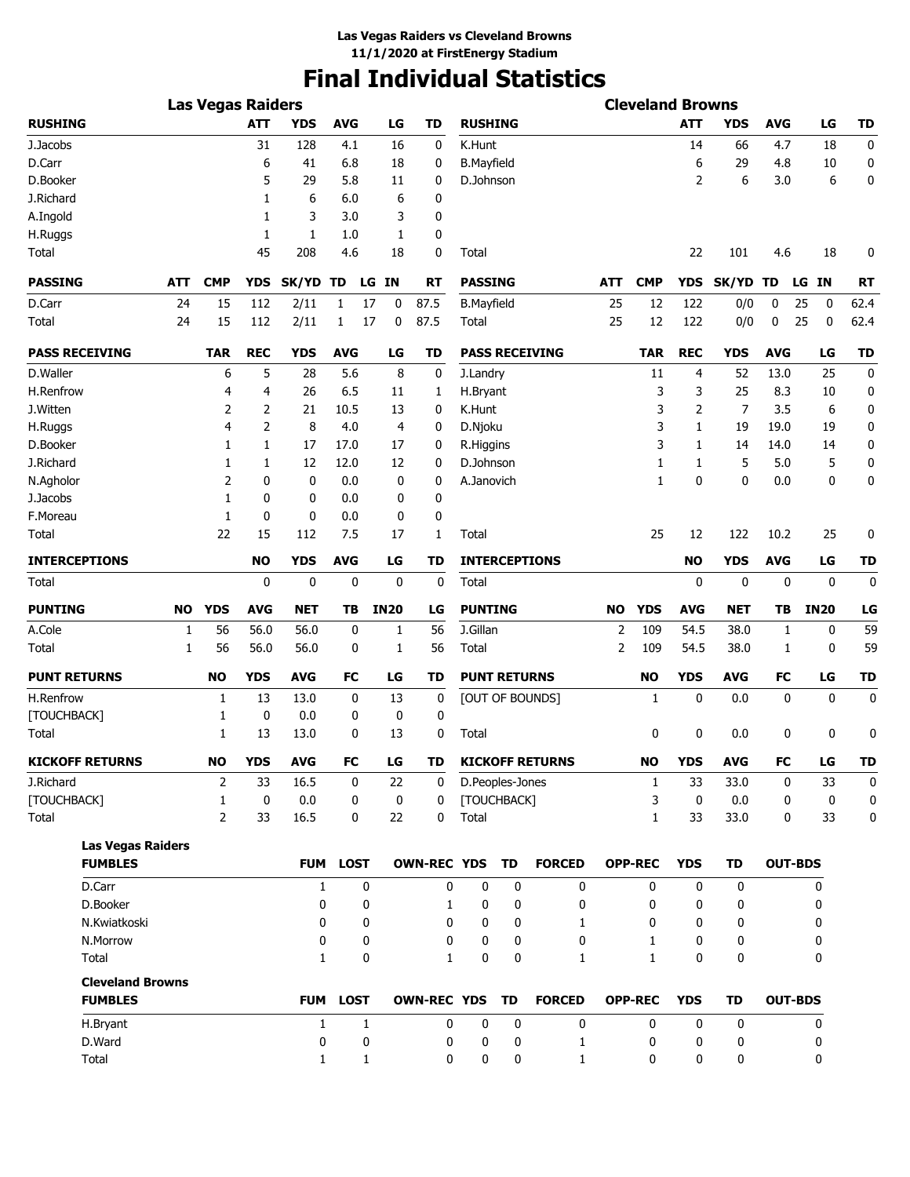# **Final Individual Statistics**

|                                           |            | <b>Las Vegas Raiders</b> |             |              |             |              |             |                    |                     |             |                        |            | <b>Cleveland Browns</b> |            |             |            |                |             |
|-------------------------------------------|------------|--------------------------|-------------|--------------|-------------|--------------|-------------|--------------------|---------------------|-------------|------------------------|------------|-------------------------|------------|-------------|------------|----------------|-------------|
| <b>RUSHING</b>                            |            |                          | <b>ATT</b>  | <b>YDS</b>   | <b>AVG</b>  |              | LG          | TD                 | <b>RUSHING</b>      |             |                        |            |                         | <b>ATT</b> | <b>YDS</b>  | <b>AVG</b> | LG             | TD          |
| J.Jacobs                                  |            |                          | 31          | 128          | 4.1         |              | 16          | 0                  | K.Hunt              |             |                        |            |                         | 14         | 66          | 4.7        | 18             | 0           |
| D.Carr                                    |            |                          | 6           | 41           | 6.8         |              | 18          | 0                  | <b>B.Mayfield</b>   |             |                        |            |                         | 6          | 29          | 4.8        | 10             | 0           |
| D.Booker                                  |            |                          | 5           | 29           | 5.8         |              | 11          | 0                  | D.Johnson           |             |                        |            |                         | 2          | 6           | 3.0        | 6              | 0           |
| J.Richard                                 |            |                          | 1           | 6            | 6.0         |              | 6           | 0                  |                     |             |                        |            |                         |            |             |            |                |             |
| A.Ingold                                  |            |                          | 1           | 3            | 3.0         |              | 3           | 0                  |                     |             |                        |            |                         |            |             |            |                |             |
| H.Ruggs                                   |            |                          | 1           | 1            | 1.0         |              | 1           | 0                  |                     |             |                        |            |                         |            |             |            |                |             |
| Total                                     |            |                          | 45          | 208          | 4.6         |              | 18          | 0                  | Total               |             |                        |            |                         | 22         | 101         | 4.6        | 18             | 0           |
| <b>PASSING</b>                            | <b>ATT</b> | <b>CMP</b>               | <b>YDS</b>  | SK/YD TD     |             | LG IN        |             | <b>RT</b>          | <b>PASSING</b>      |             |                        | <b>ATT</b> | <b>CMP</b>              | <b>YDS</b> | SK/YD TD    |            | IN<br>LG       | <b>RT</b>   |
| D.Carr                                    | 24         | 15                       | 112         | 2/11         | 1           | 17           | 0           | 87.5               | <b>B.Mayfield</b>   |             |                        | 25         | 12                      | 122        | 0/0         | 0          | 25<br>0        | 62.4        |
| Total                                     | 24         | 15                       | 112         | 2/11         | 1           | 17           | 0           | 87.5               | Total               |             |                        | 25         | 12                      | 122        | 0/0         | 0          | 25<br>0        | 62.4        |
| <b>PASS RECEIVING</b>                     |            | <b>TAR</b>               | <b>REC</b>  | <b>YDS</b>   | <b>AVG</b>  |              | LG          | TD                 |                     |             | <b>PASS RECEIVING</b>  |            | <b>TAR</b>              | <b>REC</b> | <b>YDS</b>  | <b>AVG</b> | LG             | <b>TD</b>   |
| D.Waller                                  |            | 6                        | 5           | 28           | 5.6         |              | 8           | 0                  | J.Landry            |             |                        |            | 11                      | 4          | 52          | 13.0       | 25             | $\mathbf 0$ |
| H.Renfrow                                 |            | 4                        | 4           | 26           | 6.5         |              | 11          | 1                  | H.Bryant            |             |                        |            | 3                       | 3          | 25          | 8.3        | 10             | 0           |
| J.Witten                                  |            | 2                        | 2           | 21           | 10.5        |              | 13          | 0                  | K.Hunt              |             |                        |            | 3                       | 2          | 7           | 3.5        | 6              | 0           |
| H.Ruggs                                   |            | 4                        | 2           | 8            | 4.0         |              | 4           | 0                  | D.Njoku             |             |                        |            | 3                       | 1          | 19          | 19.0       | 19             | 0           |
| D.Booker                                  |            | 1                        | 1           | 17           | 17.0        |              | 17          | 0                  | R.Higgins           |             |                        |            | 3                       | 1          | 14          | 14.0       | 14             | 0           |
| J.Richard                                 |            | 1                        | 1           | 12           | 12.0        |              | 12          | 0                  | D.Johnson           |             |                        |            | 1                       | 1          | 5           | 5.0        | 5              | 0           |
| N.Agholor                                 |            | 2                        | 0           | $\mathbf 0$  | 0.0         |              | 0           | 0                  | A.Janovich          |             |                        |            | $\mathbf{1}$            | 0          | 0           | 0.0        | 0              | 0           |
| J.Jacobs                                  |            | 1                        | 0           | 0            | 0.0         |              | 0           | 0                  |                     |             |                        |            |                         |            |             |            |                |             |
| F.Moreau                                  |            | 1                        | 0           | 0            | 0.0         |              | 0           | 0                  |                     |             |                        |            |                         |            |             |            |                |             |
| Total                                     |            | 22                       | 15          | 112          | 7.5         |              | 17          | 1                  | Total               |             |                        |            | 25                      | 12         | 122         | 10.2       | 25             | 0           |
| <b>INTERCEPTIONS</b>                      |            |                          | <b>NO</b>   | <b>YDS</b>   | <b>AVG</b>  |              | LG          | TD                 |                     |             | <b>INTERCEPTIONS</b>   |            |                         | <b>NO</b>  | <b>YDS</b>  | <b>AVG</b> | LG             | <b>TD</b>   |
| <b>Total</b>                              |            |                          | 0           | $\mathbf 0$  | 0           |              | 0           | 0                  | Total               |             |                        |            |                         | 0          | 0           | 0          | 0              | 0           |
| <b>PUNTING</b>                            | NO         | <b>YDS</b>               | <b>AVG</b>  | <b>NET</b>   | TB          |              | <b>IN20</b> | LG                 | <b>PUNTING</b>      |             |                        | <b>NO</b>  | <b>YDS</b>              | <b>AVG</b> | NET         | TΒ         | <b>IN20</b>    | LG          |
| A.Cole                                    | 1          | 56                       | 56.0        | 56.0         | 0           |              | 1           | 56                 | J.Gillan            |             |                        | 2          | 109                     | 54.5       | 38.0        | 1          | 0              | 59          |
| Total                                     | 1          | 56                       | 56.0        | 56.0         | 0           |              | 1           | 56                 | Total               |             |                        | 2          | 109                     | 54.5       | 38.0        | 1          | 0              | 59          |
| <b>PUNT RETURNS</b>                       |            | NO                       | <b>YDS</b>  | <b>AVG</b>   | FC          |              | LG          | TD                 | <b>PUNT RETURNS</b> |             |                        |            | <b>NO</b>               | <b>YDS</b> | <b>AVG</b>  | FC         | LG             | <b>TD</b>   |
| H.Renfrow                                 |            | 1                        | 13          | 13.0         | 0           |              | 13          | 0                  |                     |             | [OUT OF BOUNDS]        |            | 1                       | 0          | 0.0         | 0          | 0              | 0           |
| [TOUCHBACK]                               |            | 1                        | 0           | 0.0          | 0           |              | 0           | 0                  |                     |             |                        |            |                         |            |             |            |                |             |
| Total                                     |            | 1                        | 13          | 13.0         | 0           |              | 13          | 0                  | Total               |             |                        |            | 0                       | 0          | 0.0         | 0          | 0              | 0           |
| <b>KICKOFF RETURNS</b>                    |            | <b>NO</b>                | <b>YDS</b>  | <b>AVG</b>   | FC          |              | LG          | TD                 |                     |             | <b>KICKOFF RETURNS</b> |            | <b>NO</b>               | <b>YDS</b> | <b>AVG</b>  | FC         | LG             | <b>TD</b>   |
| J.Richard                                 |            | $\overline{2}$           | 33          | 16.5         | 0           |              | 22          | 0                  | D.Peoples-Jones     |             |                        |            | 1                       | 33         | 33.0        | 0          | 33             | 0           |
| [TOUCHBACK]                               |            | $\mathbf{1}$             | $\mathbf 0$ | 0.0          | 0           |              | $\bf{0}$    | 0                  | [TOUCHBACK]         |             |                        |            | 3                       | 0          | 0.0         | 0          | 0              | 0           |
| Total                                     |            | 2                        | 33          | 16.5         | 0           |              | 22          | 0                  | Total               |             |                        |            | 1                       | 33         | 33.0        | 0          | 33             | 0           |
| <b>Las Vegas Raiders</b>                  |            |                          |             |              |             |              |             |                    |                     |             |                        |            |                         |            |             |            |                |             |
| <b>FUMBLES</b>                            |            |                          |             |              | FUM LOST    |              |             | <b>OWN-REC YDS</b> |                     | <b>TD</b>   | <b>FORCED</b>          |            | <b>OPP-REC</b>          | <b>YDS</b> | TD          |            | <b>OUT-BDS</b> |             |
| D.Carr                                    |            |                          |             | 1            |             | 0            |             | 0                  | 0                   | 0           | 0                      |            | $\mathbf{0}$            | 0          | 0           |            | 0              |             |
| D.Booker                                  |            |                          |             | 0            |             | 0            |             | $\mathbf{1}$       | 0                   | 0           | 0                      |            | 0                       | 0          | 0           |            | 0              |             |
| N.Kwiatkoski                              |            |                          |             | 0            |             | 0            |             | 0                  | 0                   | 0           | 1                      |            | 0                       | 0          | 0           |            | 0              |             |
| N.Morrow                                  |            |                          |             | 0            |             | 0            |             | 0                  | 0                   | 0           | $\mathbf{0}$           |            | $\mathbf{1}$            | 0          | 0           |            | 0              |             |
| Total                                     |            |                          |             | $\mathbf{1}$ |             | 0            |             | $\mathbf{1}$       | 0                   | 0           | $\mathbf{1}$           |            | $\mathbf{1}$            | $\Omega$   | 0           |            | 0              |             |
| <b>Cleveland Browns</b><br><b>FUMBLES</b> |            |                          |             | <b>FUM</b>   | <b>LOST</b> |              |             | <b>OWN-REC YDS</b> |                     | <b>TD</b>   | <b>FORCED</b>          |            | <b>OPP-REC</b>          | <b>YDS</b> | TD          |            | <b>OUT-BDS</b> |             |
|                                           |            |                          |             |              |             |              |             |                    |                     |             |                        |            |                         |            |             |            |                |             |
| H.Bryant                                  |            |                          |             | $\mathbf{1}$ |             | $\mathbf{1}$ |             | 0                  | $\mathbf 0$         | $\mathbf 0$ | $\mathbf 0$            |            | $\mathbf 0$             | $\Omega$   | $\mathbf 0$ |            | 0              |             |
| D.Ward                                    |            |                          |             | 0            |             | 0            |             | 0                  | 0                   | 0           | $\mathbf{1}$           |            | 0                       | 0          | 0           |            | 0              |             |
| Total                                     |            |                          |             | 1            |             | $\mathbf{1}$ |             | 0                  | 0                   | 0           | $\mathbf{1}$           |            | 0                       | 0          | 0           |            | 0              |             |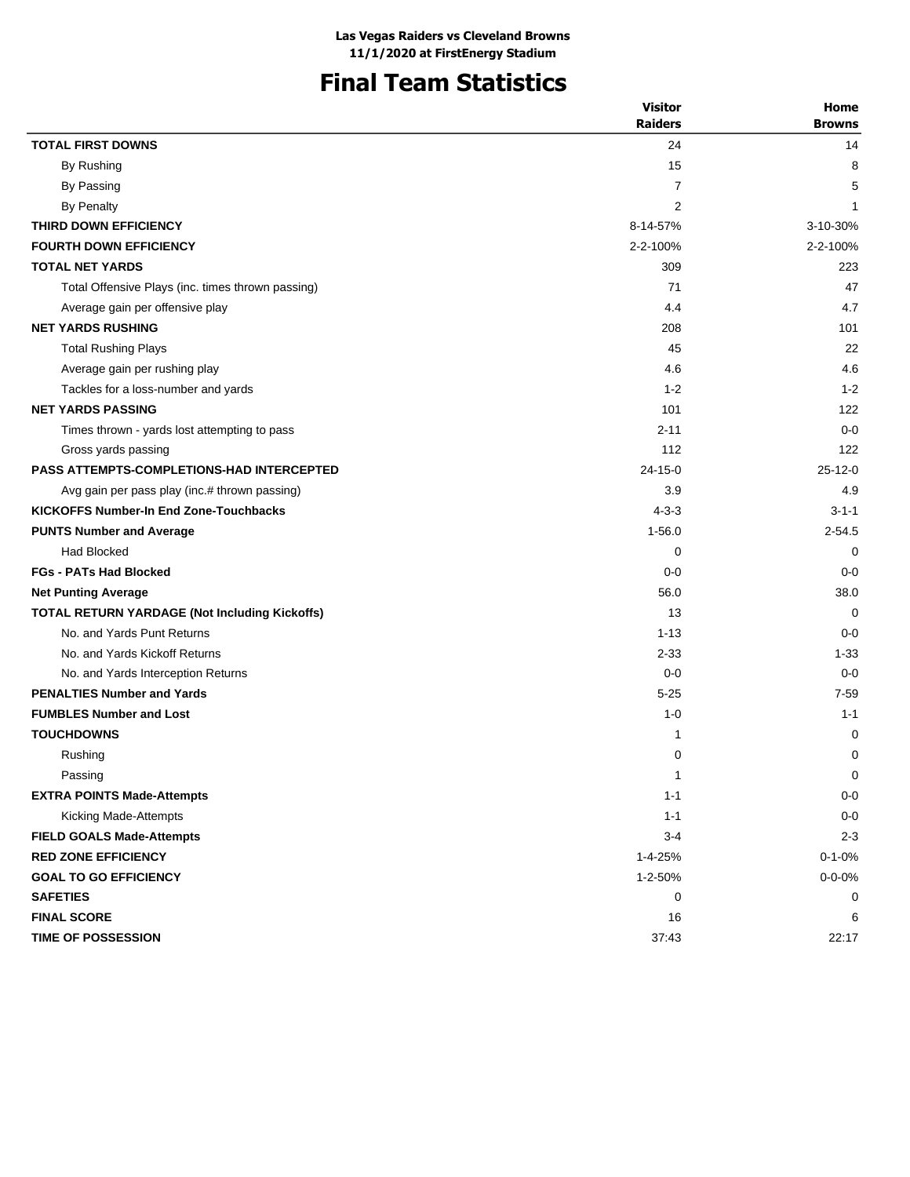# **Final Team Statistics**

| <b>Browns</b><br><b>TOTAL FIRST DOWNS</b><br>24<br>14<br>15<br>8<br>By Rushing<br>5<br>By Passing<br>7<br>$\overline{2}$<br><b>By Penalty</b><br>1<br>THIRD DOWN EFFICIENCY<br>8-14-57%<br>3-10-30%<br><b>FOURTH DOWN EFFICIENCY</b><br>2-2-100%<br>2-2-100%<br><b>TOTAL NET YARDS</b><br>309<br>223<br>Total Offensive Plays (inc. times thrown passing)<br>71<br>47<br>4.7<br>4.4<br>Average gain per offensive play<br><b>NET YARDS RUSHING</b><br>208<br>101<br>22<br>45<br><b>Total Rushing Plays</b><br>4.6<br>4.6<br>Average gain per rushing play<br>$1 - 2$<br>Tackles for a loss-number and yards<br>$1 - 2$<br><b>NET YARDS PASSING</b><br>101<br>122<br>$2 - 11$<br>$0 - 0$<br>Times thrown - yards lost attempting to pass<br>112<br>Gross yards passing<br>122<br><b>PASS ATTEMPTS-COMPLETIONS-HAD INTERCEPTED</b><br>$24 - 15 - 0$<br>$25-12-0$<br>3.9<br>4.9<br>Avg gain per pass play (inc.# thrown passing)<br><b>KICKOFFS Number-In End Zone-Touchbacks</b><br>$4 - 3 - 3$<br>$3 - 1 - 1$<br>$1 - 56.0$<br><b>PUNTS Number and Average</b><br>$2 - 54.5$<br><b>Had Blocked</b><br>0<br>$\Omega$<br><b>FGs - PATs Had Blocked</b><br>$0 - 0$<br>$0 - 0$<br>56.0<br>38.0<br><b>Net Punting Average</b><br><b>TOTAL RETURN YARDAGE (Not Including Kickoffs)</b><br>13<br>0<br>No. and Yards Punt Returns<br>$1 - 13$<br>$0 - 0$<br>$1 - 33$<br>No. and Yards Kickoff Returns<br>$2 - 33$<br>No. and Yards Interception Returns<br>$0 - 0$<br>$0 - 0$<br><b>PENALTIES Number and Yards</b><br>$5 - 25$<br>$7 - 59$<br><b>FUMBLES Number and Lost</b><br>$1 - 1$<br>$1 - 0$<br><b>TOUCHDOWNS</b><br>0<br>1<br>0<br>0<br>Rushing<br>$\mathbf{1}$<br>0<br>Passing<br><b>EXTRA POINTS Made-Attempts</b><br>$1 - 1$<br>$0-0$<br>$0-0$<br>Kicking Made-Attempts<br>$1 - 1$<br>$2 - 3$<br><b>FIELD GOALS Made-Attempts</b><br>$3-4$<br><b>RED ZONE EFFICIENCY</b><br>1-4-25%<br>$0 - 1 - 0%$<br><b>GOAL TO GO EFFICIENCY</b><br>1-2-50%<br>$0 - 0 - 0%$<br><b>SAFETIES</b><br>0<br>0<br><b>FINAL SCORE</b><br>16<br>6 |                    | <b>Visitor</b><br><b>Raiders</b> | Home  |
|-------------------------------------------------------------------------------------------------------------------------------------------------------------------------------------------------------------------------------------------------------------------------------------------------------------------------------------------------------------------------------------------------------------------------------------------------------------------------------------------------------------------------------------------------------------------------------------------------------------------------------------------------------------------------------------------------------------------------------------------------------------------------------------------------------------------------------------------------------------------------------------------------------------------------------------------------------------------------------------------------------------------------------------------------------------------------------------------------------------------------------------------------------------------------------------------------------------------------------------------------------------------------------------------------------------------------------------------------------------------------------------------------------------------------------------------------------------------------------------------------------------------------------------------------------------------------------------------------------------------------------------------------------------------------------------------------------------------------------------------------------------------------------------------------------------------------------------------------------------------------------------------------------------------------------------------------------------------------------------------------------------------------------|--------------------|----------------------------------|-------|
|                                                                                                                                                                                                                                                                                                                                                                                                                                                                                                                                                                                                                                                                                                                                                                                                                                                                                                                                                                                                                                                                                                                                                                                                                                                                                                                                                                                                                                                                                                                                                                                                                                                                                                                                                                                                                                                                                                                                                                                                                               |                    |                                  |       |
|                                                                                                                                                                                                                                                                                                                                                                                                                                                                                                                                                                                                                                                                                                                                                                                                                                                                                                                                                                                                                                                                                                                                                                                                                                                                                                                                                                                                                                                                                                                                                                                                                                                                                                                                                                                                                                                                                                                                                                                                                               |                    |                                  |       |
|                                                                                                                                                                                                                                                                                                                                                                                                                                                                                                                                                                                                                                                                                                                                                                                                                                                                                                                                                                                                                                                                                                                                                                                                                                                                                                                                                                                                                                                                                                                                                                                                                                                                                                                                                                                                                                                                                                                                                                                                                               |                    |                                  |       |
|                                                                                                                                                                                                                                                                                                                                                                                                                                                                                                                                                                                                                                                                                                                                                                                                                                                                                                                                                                                                                                                                                                                                                                                                                                                                                                                                                                                                                                                                                                                                                                                                                                                                                                                                                                                                                                                                                                                                                                                                                               |                    |                                  |       |
|                                                                                                                                                                                                                                                                                                                                                                                                                                                                                                                                                                                                                                                                                                                                                                                                                                                                                                                                                                                                                                                                                                                                                                                                                                                                                                                                                                                                                                                                                                                                                                                                                                                                                                                                                                                                                                                                                                                                                                                                                               |                    |                                  |       |
|                                                                                                                                                                                                                                                                                                                                                                                                                                                                                                                                                                                                                                                                                                                                                                                                                                                                                                                                                                                                                                                                                                                                                                                                                                                                                                                                                                                                                                                                                                                                                                                                                                                                                                                                                                                                                                                                                                                                                                                                                               |                    |                                  |       |
|                                                                                                                                                                                                                                                                                                                                                                                                                                                                                                                                                                                                                                                                                                                                                                                                                                                                                                                                                                                                                                                                                                                                                                                                                                                                                                                                                                                                                                                                                                                                                                                                                                                                                                                                                                                                                                                                                                                                                                                                                               |                    |                                  |       |
|                                                                                                                                                                                                                                                                                                                                                                                                                                                                                                                                                                                                                                                                                                                                                                                                                                                                                                                                                                                                                                                                                                                                                                                                                                                                                                                                                                                                                                                                                                                                                                                                                                                                                                                                                                                                                                                                                                                                                                                                                               |                    |                                  |       |
|                                                                                                                                                                                                                                                                                                                                                                                                                                                                                                                                                                                                                                                                                                                                                                                                                                                                                                                                                                                                                                                                                                                                                                                                                                                                                                                                                                                                                                                                                                                                                                                                                                                                                                                                                                                                                                                                                                                                                                                                                               |                    |                                  |       |
|                                                                                                                                                                                                                                                                                                                                                                                                                                                                                                                                                                                                                                                                                                                                                                                                                                                                                                                                                                                                                                                                                                                                                                                                                                                                                                                                                                                                                                                                                                                                                                                                                                                                                                                                                                                                                                                                                                                                                                                                                               |                    |                                  |       |
|                                                                                                                                                                                                                                                                                                                                                                                                                                                                                                                                                                                                                                                                                                                                                                                                                                                                                                                                                                                                                                                                                                                                                                                                                                                                                                                                                                                                                                                                                                                                                                                                                                                                                                                                                                                                                                                                                                                                                                                                                               |                    |                                  |       |
|                                                                                                                                                                                                                                                                                                                                                                                                                                                                                                                                                                                                                                                                                                                                                                                                                                                                                                                                                                                                                                                                                                                                                                                                                                                                                                                                                                                                                                                                                                                                                                                                                                                                                                                                                                                                                                                                                                                                                                                                                               |                    |                                  |       |
|                                                                                                                                                                                                                                                                                                                                                                                                                                                                                                                                                                                                                                                                                                                                                                                                                                                                                                                                                                                                                                                                                                                                                                                                                                                                                                                                                                                                                                                                                                                                                                                                                                                                                                                                                                                                                                                                                                                                                                                                                               |                    |                                  |       |
|                                                                                                                                                                                                                                                                                                                                                                                                                                                                                                                                                                                                                                                                                                                                                                                                                                                                                                                                                                                                                                                                                                                                                                                                                                                                                                                                                                                                                                                                                                                                                                                                                                                                                                                                                                                                                                                                                                                                                                                                                               |                    |                                  |       |
|                                                                                                                                                                                                                                                                                                                                                                                                                                                                                                                                                                                                                                                                                                                                                                                                                                                                                                                                                                                                                                                                                                                                                                                                                                                                                                                                                                                                                                                                                                                                                                                                                                                                                                                                                                                                                                                                                                                                                                                                                               |                    |                                  |       |
|                                                                                                                                                                                                                                                                                                                                                                                                                                                                                                                                                                                                                                                                                                                                                                                                                                                                                                                                                                                                                                                                                                                                                                                                                                                                                                                                                                                                                                                                                                                                                                                                                                                                                                                                                                                                                                                                                                                                                                                                                               |                    |                                  |       |
|                                                                                                                                                                                                                                                                                                                                                                                                                                                                                                                                                                                                                                                                                                                                                                                                                                                                                                                                                                                                                                                                                                                                                                                                                                                                                                                                                                                                                                                                                                                                                                                                                                                                                                                                                                                                                                                                                                                                                                                                                               |                    |                                  |       |
|                                                                                                                                                                                                                                                                                                                                                                                                                                                                                                                                                                                                                                                                                                                                                                                                                                                                                                                                                                                                                                                                                                                                                                                                                                                                                                                                                                                                                                                                                                                                                                                                                                                                                                                                                                                                                                                                                                                                                                                                                               |                    |                                  |       |
|                                                                                                                                                                                                                                                                                                                                                                                                                                                                                                                                                                                                                                                                                                                                                                                                                                                                                                                                                                                                                                                                                                                                                                                                                                                                                                                                                                                                                                                                                                                                                                                                                                                                                                                                                                                                                                                                                                                                                                                                                               |                    |                                  |       |
|                                                                                                                                                                                                                                                                                                                                                                                                                                                                                                                                                                                                                                                                                                                                                                                                                                                                                                                                                                                                                                                                                                                                                                                                                                                                                                                                                                                                                                                                                                                                                                                                                                                                                                                                                                                                                                                                                                                                                                                                                               |                    |                                  |       |
|                                                                                                                                                                                                                                                                                                                                                                                                                                                                                                                                                                                                                                                                                                                                                                                                                                                                                                                                                                                                                                                                                                                                                                                                                                                                                                                                                                                                                                                                                                                                                                                                                                                                                                                                                                                                                                                                                                                                                                                                                               |                    |                                  |       |
|                                                                                                                                                                                                                                                                                                                                                                                                                                                                                                                                                                                                                                                                                                                                                                                                                                                                                                                                                                                                                                                                                                                                                                                                                                                                                                                                                                                                                                                                                                                                                                                                                                                                                                                                                                                                                                                                                                                                                                                                                               |                    |                                  |       |
|                                                                                                                                                                                                                                                                                                                                                                                                                                                                                                                                                                                                                                                                                                                                                                                                                                                                                                                                                                                                                                                                                                                                                                                                                                                                                                                                                                                                                                                                                                                                                                                                                                                                                                                                                                                                                                                                                                                                                                                                                               |                    |                                  |       |
|                                                                                                                                                                                                                                                                                                                                                                                                                                                                                                                                                                                                                                                                                                                                                                                                                                                                                                                                                                                                                                                                                                                                                                                                                                                                                                                                                                                                                                                                                                                                                                                                                                                                                                                                                                                                                                                                                                                                                                                                                               |                    |                                  |       |
|                                                                                                                                                                                                                                                                                                                                                                                                                                                                                                                                                                                                                                                                                                                                                                                                                                                                                                                                                                                                                                                                                                                                                                                                                                                                                                                                                                                                                                                                                                                                                                                                                                                                                                                                                                                                                                                                                                                                                                                                                               |                    |                                  |       |
|                                                                                                                                                                                                                                                                                                                                                                                                                                                                                                                                                                                                                                                                                                                                                                                                                                                                                                                                                                                                                                                                                                                                                                                                                                                                                                                                                                                                                                                                                                                                                                                                                                                                                                                                                                                                                                                                                                                                                                                                                               |                    |                                  |       |
|                                                                                                                                                                                                                                                                                                                                                                                                                                                                                                                                                                                                                                                                                                                                                                                                                                                                                                                                                                                                                                                                                                                                                                                                                                                                                                                                                                                                                                                                                                                                                                                                                                                                                                                                                                                                                                                                                                                                                                                                                               |                    |                                  |       |
|                                                                                                                                                                                                                                                                                                                                                                                                                                                                                                                                                                                                                                                                                                                                                                                                                                                                                                                                                                                                                                                                                                                                                                                                                                                                                                                                                                                                                                                                                                                                                                                                                                                                                                                                                                                                                                                                                                                                                                                                                               |                    |                                  |       |
|                                                                                                                                                                                                                                                                                                                                                                                                                                                                                                                                                                                                                                                                                                                                                                                                                                                                                                                                                                                                                                                                                                                                                                                                                                                                                                                                                                                                                                                                                                                                                                                                                                                                                                                                                                                                                                                                                                                                                                                                                               |                    |                                  |       |
|                                                                                                                                                                                                                                                                                                                                                                                                                                                                                                                                                                                                                                                                                                                                                                                                                                                                                                                                                                                                                                                                                                                                                                                                                                                                                                                                                                                                                                                                                                                                                                                                                                                                                                                                                                                                                                                                                                                                                                                                                               |                    |                                  |       |
|                                                                                                                                                                                                                                                                                                                                                                                                                                                                                                                                                                                                                                                                                                                                                                                                                                                                                                                                                                                                                                                                                                                                                                                                                                                                                                                                                                                                                                                                                                                                                                                                                                                                                                                                                                                                                                                                                                                                                                                                                               |                    |                                  |       |
|                                                                                                                                                                                                                                                                                                                                                                                                                                                                                                                                                                                                                                                                                                                                                                                                                                                                                                                                                                                                                                                                                                                                                                                                                                                                                                                                                                                                                                                                                                                                                                                                                                                                                                                                                                                                                                                                                                                                                                                                                               |                    |                                  |       |
|                                                                                                                                                                                                                                                                                                                                                                                                                                                                                                                                                                                                                                                                                                                                                                                                                                                                                                                                                                                                                                                                                                                                                                                                                                                                                                                                                                                                                                                                                                                                                                                                                                                                                                                                                                                                                                                                                                                                                                                                                               |                    |                                  |       |
|                                                                                                                                                                                                                                                                                                                                                                                                                                                                                                                                                                                                                                                                                                                                                                                                                                                                                                                                                                                                                                                                                                                                                                                                                                                                                                                                                                                                                                                                                                                                                                                                                                                                                                                                                                                                                                                                                                                                                                                                                               |                    |                                  |       |
|                                                                                                                                                                                                                                                                                                                                                                                                                                                                                                                                                                                                                                                                                                                                                                                                                                                                                                                                                                                                                                                                                                                                                                                                                                                                                                                                                                                                                                                                                                                                                                                                                                                                                                                                                                                                                                                                                                                                                                                                                               |                    |                                  |       |
|                                                                                                                                                                                                                                                                                                                                                                                                                                                                                                                                                                                                                                                                                                                                                                                                                                                                                                                                                                                                                                                                                                                                                                                                                                                                                                                                                                                                                                                                                                                                                                                                                                                                                                                                                                                                                                                                                                                                                                                                                               |                    |                                  |       |
|                                                                                                                                                                                                                                                                                                                                                                                                                                                                                                                                                                                                                                                                                                                                                                                                                                                                                                                                                                                                                                                                                                                                                                                                                                                                                                                                                                                                                                                                                                                                                                                                                                                                                                                                                                                                                                                                                                                                                                                                                               |                    |                                  |       |
|                                                                                                                                                                                                                                                                                                                                                                                                                                                                                                                                                                                                                                                                                                                                                                                                                                                                                                                                                                                                                                                                                                                                                                                                                                                                                                                                                                                                                                                                                                                                                                                                                                                                                                                                                                                                                                                                                                                                                                                                                               |                    |                                  |       |
|                                                                                                                                                                                                                                                                                                                                                                                                                                                                                                                                                                                                                                                                                                                                                                                                                                                                                                                                                                                                                                                                                                                                                                                                                                                                                                                                                                                                                                                                                                                                                                                                                                                                                                                                                                                                                                                                                                                                                                                                                               |                    |                                  |       |
|                                                                                                                                                                                                                                                                                                                                                                                                                                                                                                                                                                                                                                                                                                                                                                                                                                                                                                                                                                                                                                                                                                                                                                                                                                                                                                                                                                                                                                                                                                                                                                                                                                                                                                                                                                                                                                                                                                                                                                                                                               |                    |                                  |       |
|                                                                                                                                                                                                                                                                                                                                                                                                                                                                                                                                                                                                                                                                                                                                                                                                                                                                                                                                                                                                                                                                                                                                                                                                                                                                                                                                                                                                                                                                                                                                                                                                                                                                                                                                                                                                                                                                                                                                                                                                                               | TIME OF POSSESSION | 37:43                            | 22:17 |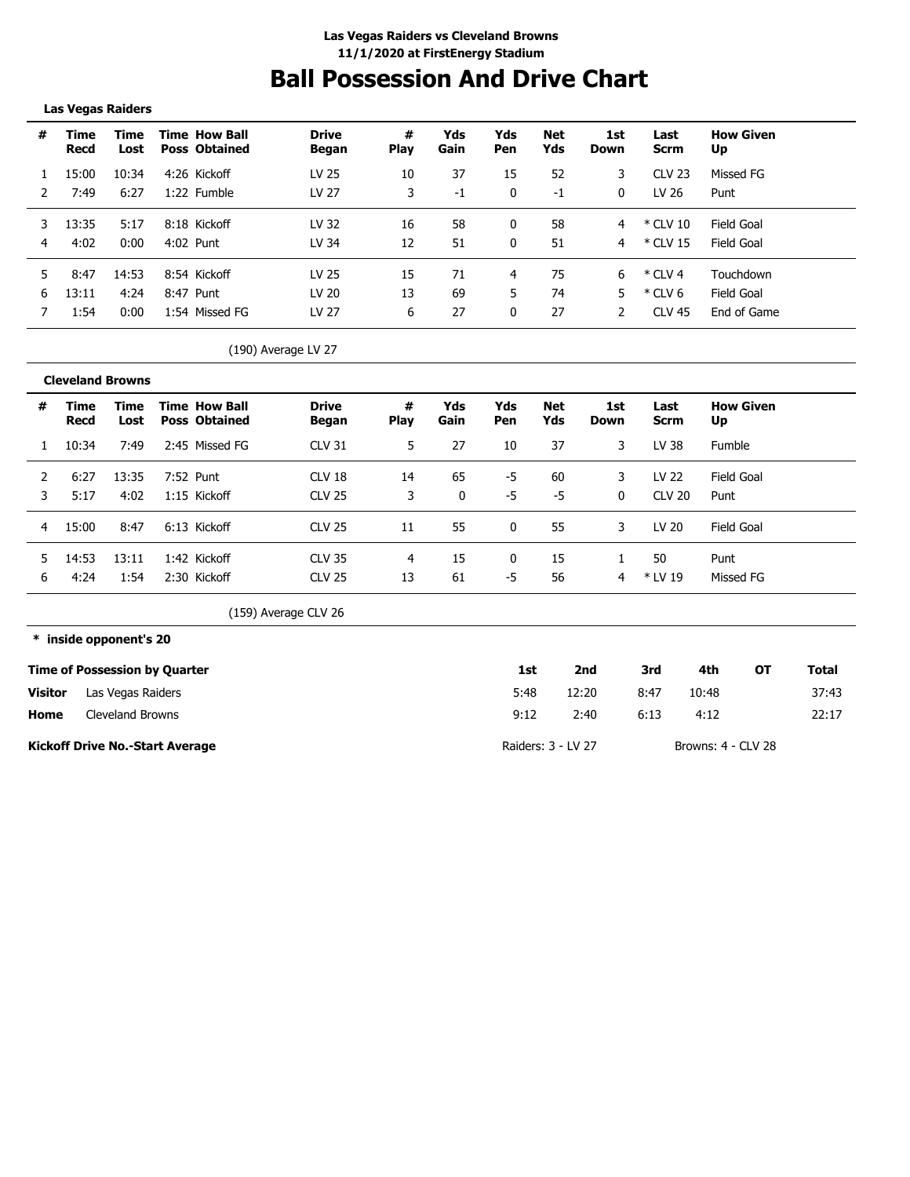## **Ball Possession And Drive Chart**

#### **Las Vegas Raiders**

| #  | Time<br>Recd | Time<br>Lost | Time How Ball<br><b>Poss Obtained</b> | <b>Drive</b><br><b>Began</b> | #<br><b>Play</b> | Yds<br>Gain | Yds<br>Pen   | <b>Net</b><br>Yds | 1st<br>Down | Last<br><b>Scrm</b> | <b>How Given</b><br>Up |
|----|--------------|--------------|---------------------------------------|------------------------------|------------------|-------------|--------------|-------------------|-------------|---------------------|------------------------|
|    | 15:00        | 10:34        | 4:26 Kickoff                          | LV 25                        | 10               | 37          | 15           | 52                | 3           | <b>CLV 23</b>       | Missed FG              |
|    | 7:49         | 6:27         | 1:22 Fumble                           | LV 27                        | 3                | $-1$        | $\mathbf{0}$ | -1                | 0           | LV 26               | Punt                   |
|    | 13:35        | 5:17         | 8:18 Kickoff                          | LV 32                        | 16               | 58          | 0            | 58                | 4           | * CLV 10            | Field Goal             |
| 4  | 4:02         | 0:00         | 4:02 Punt                             | LV 34                        | 12               | 51          | $\mathbf{0}$ | 51                | 4           | * CLV 15            | Field Goal             |
| 5. | 8:47         | 14:53        | 8:54 Kickoff                          | LV 25                        | 15               | 71          | 4            | 75                | 6           | * CLV 4             | Touchdown              |
| h  | 13:11        | 4:24         | 8:47 Punt                             | LV 20                        | 13               | 69          | 5.           | 74                | 5           | $*$ CLV 6           | Field Goal             |
|    | 1:54         | 0:00         | 1:54 Missed FG                        | LV 27                        | 6                | 27          |              | 27                |             | <b>CLV 45</b>       | End of Game            |

<sup>(190)</sup> Average LV 27

|   | <b>Cleveland Browns</b> |              |                                              |                          |                  |             |            |            |             |                     |                        |  |
|---|-------------------------|--------------|----------------------------------------------|--------------------------|------------------|-------------|------------|------------|-------------|---------------------|------------------------|--|
| # | Time<br>Recd            | Time<br>Lost | <b>Time How Ball</b><br><b>Poss Obtained</b> | <b>Drive</b><br>Began    | #<br><b>Play</b> | Yds<br>Gain | Yds<br>Pen | Net<br>Yds | 1st<br>Down | Last<br><b>Scrm</b> | <b>How Given</b><br>Up |  |
|   | 10:34                   | 7:49         | 2:45 Missed FG                               | <b>CLV 31</b>            | 5.               | 27          | 10         | 37         | 3           | LV 38               | Fumble                 |  |
|   | 6:27                    | 13:35        | 7:52 Punt                                    | CLV 18                   | 14               | 65          | -5         | -60        | 3           | LV 22               | Field Goal             |  |
| 3 | 5:17                    | 4:02         | 1:15 Kickoff                                 | <b>CLV 25</b>            | 3                | 0           | -5         | -5         | $\Omega$    | <b>CLV 20</b>       | Punt                   |  |
|   | 15:00                   | 8:47         | 6:13 Kickoff                                 | <b>CLV 25</b>            | 11               | 55          | 0          | 55         | 3           | LV 20               | Field Goal             |  |
|   | 14:53                   | 13:11        | 1:42 Kickoff                                 | <b>CLV 35</b>            |                  | 15          | 0          | 15         |             | 50                  | Punt                   |  |
| h | 4:24                    | 1:54         | 2:30 Kickoff                                 | <b>CLV 25</b>            | 13               | 61          | $-5$       | 56         | 4           | * LV 19             | Missed FG              |  |
|   |                         |              |                                              | $\overline{\phantom{a}}$ |                  |             |            |            |             |                     |                        |  |

(159) Average CLV 26

**\* inside opponent's 20**

|         | <b>Time of Possession by Quarter</b>   | 1st                | 2nd   | 3rd  | 4th                | ΟТ | Total |
|---------|----------------------------------------|--------------------|-------|------|--------------------|----|-------|
| Visitor | Las Vegas Raiders                      | 5:48               | 12:20 | 8:47 | 10:48              |    | 37:43 |
| Home    | Cleveland Browns                       | 9:12               | 2:40  | 6:13 | 4:12               |    | 22:17 |
|         | <b>Kickoff Drive No.-Start Average</b> | Raiders: 3 - LV 27 |       |      | Browns: 4 - CLV 28 |    |       |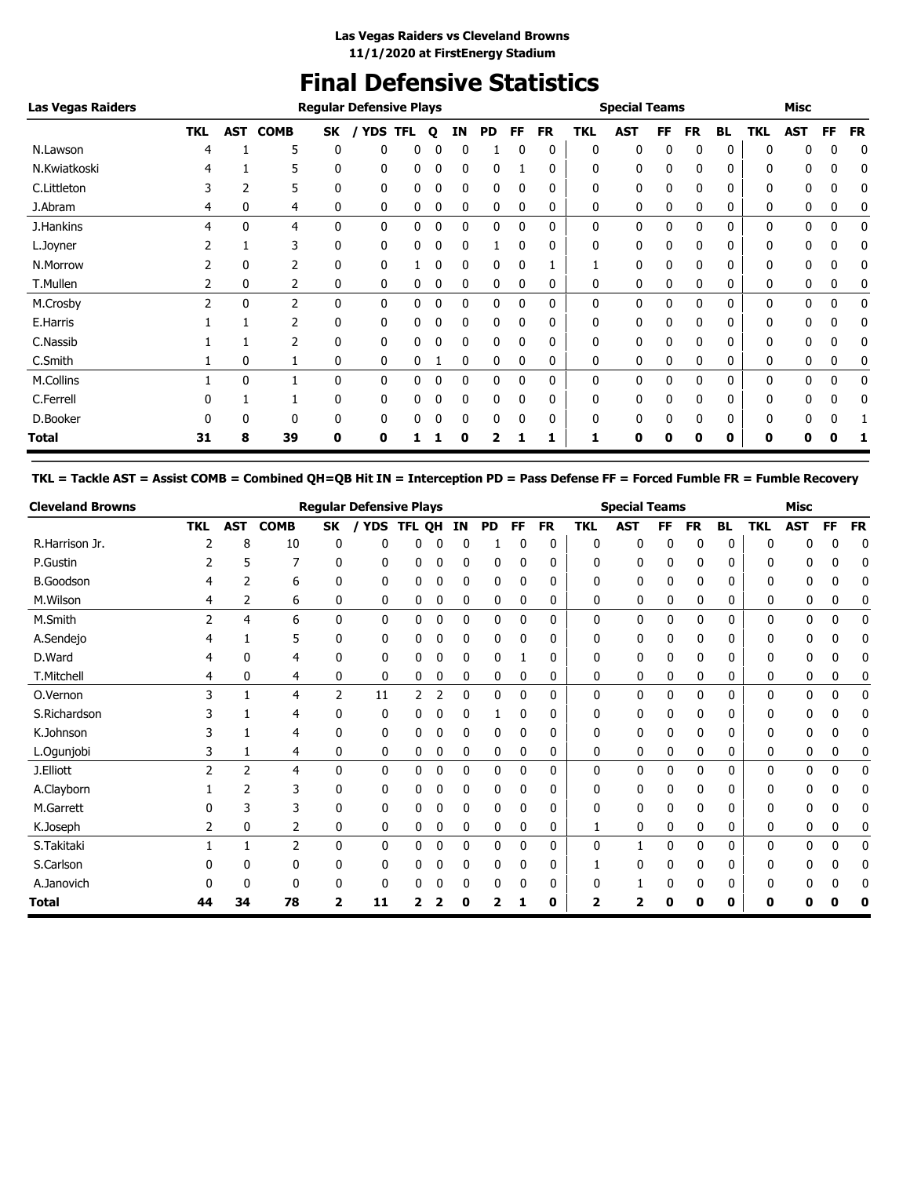### **Final Defensive Statistics**

| <b>Las Vegas Raiders</b> |               |     |             | <b>Regular Defensive Plays</b> |            |            |   |              |           | <b>Special Teams</b> |           |            |              |    | Misc |           |              |            |    |           |
|--------------------------|---------------|-----|-------------|--------------------------------|------------|------------|---|--------------|-----------|----------------------|-----------|------------|--------------|----|------|-----------|--------------|------------|----|-----------|
|                          | <b>TKL</b>    | AST | <b>COMB</b> | SK                             | <b>YDS</b> | <b>TFL</b> | Q | ΙN           | <b>PD</b> | FF                   | <b>FR</b> | <b>TKL</b> | <b>AST</b>   | FF | FR   | <b>BL</b> | <b>TKL</b>   | <b>AST</b> | FF | <b>FR</b> |
| N.Lawson                 |               |     | 5           | 0                              | 0          | 0          |   | 0            |           | 0                    | 0         | 0          | $\mathbf{0}$ | n  | 0    | 0         | $\Omega$     | 0          | 0  | 0         |
| N.Kwiatkoski             |               |     | 5           | 0                              | 0          | 0          | 0 | 0            | 0         |                      | 0         | 0          | 0            | 0  | 0    | 0         | 0            | 0          | 0  | 0         |
| C.Littleton              | 3             | 2   | 5           | 0                              | 0          | 0          | 0 | $\mathbf{0}$ | 0         | 0                    | 0         | 0          | 0            | 0  | 0    | 0         | $\mathbf{0}$ | 0          | 0  | 0         |
| J.Abram                  | 4             | 0   | 4           | 0                              | 0          | 0          | 0 | 0            | 0         | 0                    | 0         | 0          | 0            | 0  | 0    | 0         | 0            | 0          | 0  | 0         |
| J.Hankins                | 4             | 0   | 4           | 0                              | 0          | 0          | 0 | $\mathbf{0}$ | 0         | $\Omega$             | 0         | 0          | 0            | 0  | 0    | 0         | 0            | 0          | 0  | 0         |
| L.Joyner                 |               |     | 3           | 0                              | 0          | 0          | 0 | $\mathbf{0}$ |           | $\Omega$             | 0         | 0          | 0            | 0  | 0    | 0         | $\mathbf{0}$ | 0          | 0  | 0         |
| N.Morrow                 |               | 0   | 2           | 0                              | 0          |            | 0 | 0            | 0         | 0                    |           |            | $\mathbf{0}$ | 0  | 0    | 0         | 0            | 0          | 0  | 0         |
| T.Mullen                 | 2             | 0   | 2           | 0                              | 0          | 0          | 0 | 0            | 0         | 0                    | 0         | 0          | 0            | 0  | 0    | 0         | 0            | 0          | 0  | 0         |
| M.Crosby                 | $\mathcal{P}$ | 0   | 2           | 0                              | 0          | 0          | 0 | 0            | 0         | $\Omega$             | 0         | 0          | 0            | 0  | 0    | 0         | 0            | 0          | 0  | 0         |
| E.Harris                 |               |     | 2           | 0                              | 0          | 0          | 0 | 0            | 0         | 0                    | 0         | 0          | $\mathbf{0}$ | 0  | 0    | 0         | 0            | 0          | 0  | 0         |
| C.Nassib                 |               |     | 2           | 0                              | 0          | 0          | 0 | 0            | 0         | 0                    | 0         | 0          | 0            | 0  | 0    | 0         | 0            | 0          | 0  | 0         |
| C.Smith                  |               | 0   |             | 0                              | 0          | 0          |   | 0            | 0         | 0                    | 0         | 0          | 0            | 0  | 0    | 0         | 0            | 0          | 0  | 0         |
| M.Collins                |               | 0   |             | 0                              | 0          | 0          | 0 | $\mathbf{0}$ | 0         | 0                    | 0         | 0          | $\mathbf{0}$ | 0  | 0    | 0         | 0            | 0          | 0  | 0         |
| C.Ferrell                |               |     |             | 0                              | 0          | 0          | 0 | 0            | 0         | 0                    | 0         | 0          | 0            | 0  | 0    | 0         | 0            | 0          | 0  | 0         |
| D.Booker                 |               | 0   | $\Omega$    | 0                              | 0          | 0          |   | 0            | 0         | 0                    | 0         | 0          | $\mathbf{0}$ |    | 0    | 0         | 0            | 0          | 0  |           |
| <b>Total</b>             | 31            | 8   | 39          | 0                              | 0          |            |   | 0            | 2         |                      | 1         |            | 0            | 0  | 0    | 0         | 0            | 0          | n  |           |

**TKL = Tackle AST = Assist COMB = Combined QH=QB Hit IN = Interception PD = Pass Defense FF = Forced Fumble FR = Fumble Recovery**

| <b>Cleveland Browns</b> |               |            |             |    | <b>Regular Defensive Plays</b> |        |   |    |              |              |              | <b>Special Teams</b> |            |    |              |              | <b>Misc</b> |              |           |           |
|-------------------------|---------------|------------|-------------|----|--------------------------------|--------|---|----|--------------|--------------|--------------|----------------------|------------|----|--------------|--------------|-------------|--------------|-----------|-----------|
|                         | <b>TKL</b>    | <b>AST</b> | <b>COMB</b> | SK | <b>YDS</b>                     | TFL QH |   | ΙN | PD           | <b>FF</b>    | <b>FR</b>    | <b>TKL</b>           | <b>AST</b> | FF | <b>FR</b>    | <b>BL</b>    | <b>TKL</b>  | <b>AST</b>   | <b>FF</b> | <b>FR</b> |
| R.Harrison Jr.          |               | 8          | 10          | 0  | 0                              | 0      | 0 | 0  |              | 0            | 0            | 0                    | 0          | 0  | 0            | 0            | 0           | 0            | 0         | 0         |
| P.Gustin                |               | 5          | 7           | 0  | 0                              | 0      |   | 0  | 0            |              | 0            | 0                    | 0          | 0  | 0            | 0            | 0           | n            | 0         | 0         |
| <b>B.Goodson</b>        |               | 2          | 6           | 0  | 0                              | 0      | 0 | 0  | 0            | 0            | 0            | 0                    | 0          | 0  | 0            | 0            | 0           | 0            | 0         | 0         |
| M.Wilson                | 4             | 2          | 6           | 0  | 0                              | 0      | 0 | 0  | 0            | 0            | 0            | 0                    | 0          | 0  | 0            | 0            | 0           | 0            | 0         | 0         |
| M.Smith                 | $\mathcal{P}$ | 4          | 6           | 0  | 0                              | 0      | 0 | 0  | 0            | 0            | 0            | 0                    | 0          | 0  | 0            | 0            | 0           | 0            | 0         | 0         |
| A.Sendejo               | 4             |            | 5           | 0  | 0                              | 0      | 0 | 0  | 0            | 0            | 0            | 0                    | 0          | 0  | 0            | 0            | 0           | 0            | 0         | 0         |
| D.Ward                  | 4             |            | 4           | 0  | 0                              | 0      | 0 | 0  | 0            |              | 0            | 0                    | 0          | 0  | 0            | 0            | 0           | 0            | 0         | Ω         |
| T.Mitchell              | 4             | 0          | 4           | 0  | 0                              | 0      | 0 | 0  | 0            | 0            | 0            | 0                    | 0          | 0  | 0            | 0            | 0           | 0            | 0         | 0         |
| O.Vernon                | 3             |            | 4           | 2  | 11                             | 2      | 2 | 0  | 0            | $\mathbf{0}$ | 0            | 0                    | 0          | 0  | 0            | $\mathbf{0}$ | 0           | $\mathbf{0}$ | 0         | 0         |
| S.Richardson            |               |            | 4           | 0  | 0                              | 0      | Λ | 0  | 1            | 0            | 0            | 0                    | 0          | 0  | 0            | 0            | 0           | 0            | 0         | 0         |
| K.Johnson               |               |            | 4           | 0  | 0                              | 0      | 0 | 0  | 0            | 0            | 0            | 0                    | 0          | 0  | 0            | 0            | 0           | 0            | 0         | 0         |
| L.Ogunjobi              | 3             |            | 4           | 0  | 0                              | 0      | 0 | 0  | 0            | 0            | 0            | 0                    | 0          | 0  | 0            | 0            | 0           | 0            | 0         | 0         |
| J.Elliott               | 2             | 2          | 4           | 0  | 0                              | 0      | 0 | 0  | 0            | $\mathbf{0}$ | 0            | 0                    | 0          | 0  | $\mathbf{0}$ | 0            | 0           | $\mathbf{0}$ | 0         | 0         |
| A.Clayborn              |               |            | 3           | 0  | 0                              | 0      | 0 | 0  | 0            | 0            | 0            | 0                    | 0          | 0  | 0            | 0            | 0           | 0            | 0         | 0         |
| M.Garrett               |               |            | 3           | 0  | 0                              | 0      |   | 0  | 0            |              | 0            | 0                    | 0          | 0  | 0            | 0            | 0           | 0            | 0         | 0         |
| K.Joseph                | 2             | 0          | 2           | 0  | 0                              | 0      | 0 | 0  | 0            | 0            | 0            | 1                    | 0          | 0  | 0            | 0            | 0           | 0            | 0         | 0         |
| S.Takitaki              |               | 1          | 2           | 0  | 0                              | 0      | 0 | 0  | $\mathbf{0}$ | 0            | $\mathbf{0}$ | 0                    |            | 0  | 0            | $\mathbf{0}$ | 0           | $\mathbf{0}$ | 0         | 0         |
| S.Carlson               |               |            | 0           | 0  | 0                              | 0      |   | 0  | 0            |              | 0            |                      | 0          |    | 0            | 0            | 0           | 0            | 0         | 0         |
| A.Janovich              |               |            | 0           | 0  | 0                              |        |   | 0  | 0            | 0            | 0            |                      |            |    | 0            | 0            | 0           | 0            | 0         | 0         |
| <b>Total</b>            | 44            | 34         | 78          | 2  | 11                             |        |   |    |              |              | 0            |                      | 2          |    | O            | 0            | 0           |              |           | 0         |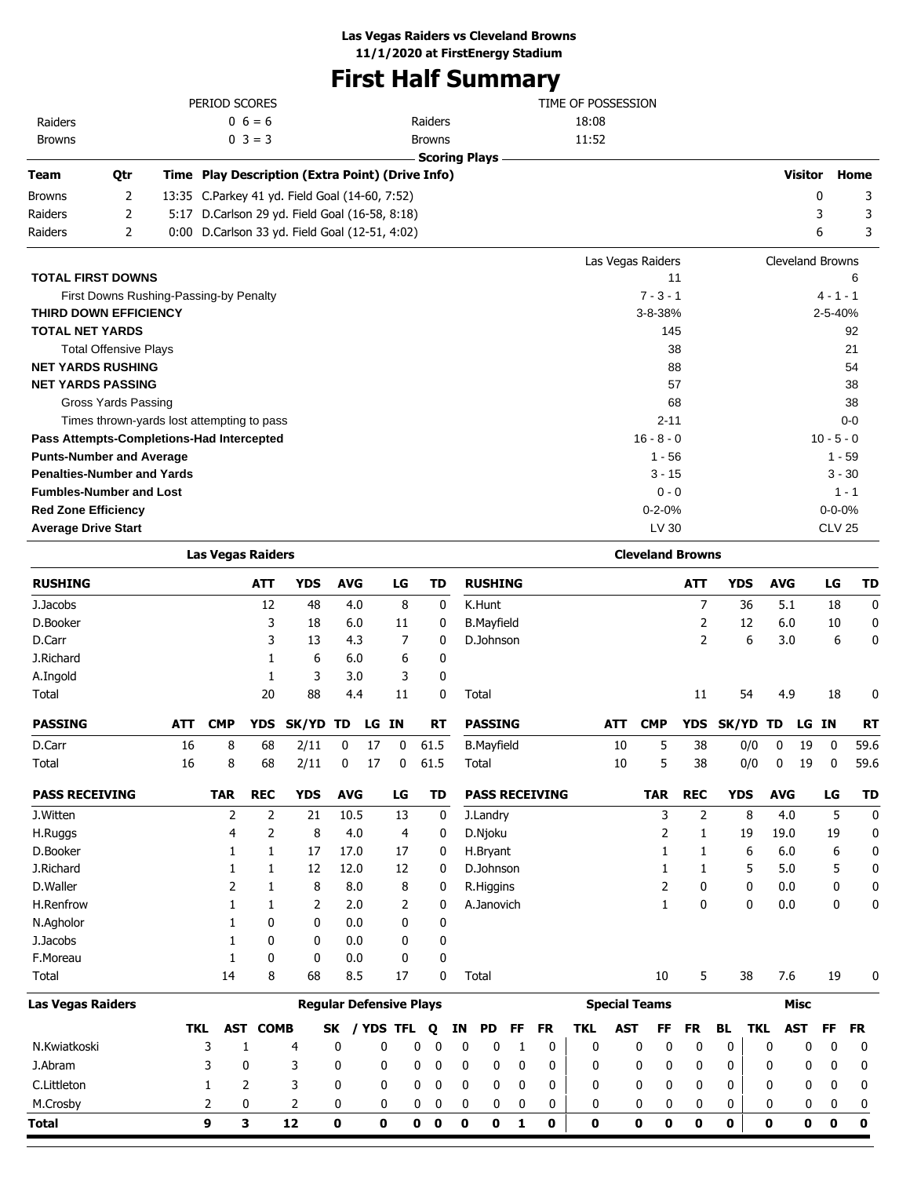### **First Half Summary**

|                                            |                              |                                        | PERIOD SCORES            |              |                                                  |            |    |       |               | TIME OF POSSESSION   |                   |                         |                |              |            |                         |               |           |
|--------------------------------------------|------------------------------|----------------------------------------|--------------------------|--------------|--------------------------------------------------|------------|----|-------|---------------|----------------------|-------------------|-------------------------|----------------|--------------|------------|-------------------------|---------------|-----------|
| Raiders                                    |                              |                                        |                          | $0\;6=6$     |                                                  |            |    |       | Raiders       |                      | 18:08             |                         |                |              |            |                         |               |           |
| <b>Browns</b>                              |                              |                                        |                          | $0 \ 3 = 3$  |                                                  |            |    |       | <b>Browns</b> |                      | 11:52             |                         |                |              |            |                         |               |           |
|                                            |                              |                                        |                          |              |                                                  |            |    |       |               | <b>Scoring Plays</b> |                   |                         |                |              |            |                         |               |           |
| <b>Team</b>                                | Qtr                          |                                        |                          |              | Time Play Description (Extra Point) (Drive Info) |            |    |       |               |                      |                   |                         |                |              |            | <b>Visitor</b>          |               | Home      |
| <b>Browns</b>                              | 2                            |                                        |                          |              | 13:35 C.Parkey 41 yd. Field Goal (14-60, 7:52)   |            |    |       |               |                      |                   |                         |                |              |            | 0                       |               | 3         |
| Raiders                                    | 2                            | 5:17                                   |                          |              | D.Carlson 29 yd. Field Goal (16-58, 8:18)        |            |    |       |               |                      |                   |                         |                |              |            | 3                       |               | 3         |
| Raiders                                    | 2                            |                                        |                          |              | 0:00 D.Carlson 33 yd. Field Goal (12-51, 4:02)   |            |    |       |               |                      |                   |                         |                |              |            | 6                       |               | 3         |
|                                            |                              |                                        |                          |              |                                                  |            |    |       |               |                      | Las Vegas Raiders |                         |                |              |            | <b>Cleveland Browns</b> |               |           |
| <b>TOTAL FIRST DOWNS</b>                   |                              |                                        |                          |              |                                                  |            |    |       |               |                      |                   |                         | 11             |              |            |                         |               | 6         |
|                                            |                              | First Downs Rushing-Passing-by Penalty |                          |              |                                                  |            |    |       |               |                      |                   | $7 - 3 - 1$             |                |              |            |                         | $4 - 1 - 1$   |           |
| <b>THIRD DOWN EFFICIENCY</b>               |                              |                                        |                          |              |                                                  |            |    |       |               |                      |                   | 3-8-38%                 |                |              |            |                         | 2-5-40%       |           |
| <b>TOTAL NET YARDS</b>                     |                              |                                        |                          |              |                                                  |            |    |       |               |                      |                   | 145                     |                |              |            |                         |               | 92        |
|                                            | <b>Total Offensive Plays</b> |                                        |                          |              |                                                  |            |    |       |               |                      |                   |                         | 38             |              |            |                         |               | 21        |
| <b>NET YARDS RUSHING</b>                   |                              |                                        |                          |              |                                                  |            |    |       |               |                      |                   |                         | 88             |              |            |                         |               | 54        |
| <b>NET YARDS PASSING</b>                   |                              |                                        |                          |              |                                                  |            |    |       |               |                      |                   |                         | 57             |              |            |                         |               | 38        |
|                                            | <b>Gross Yards Passing</b>   |                                        |                          |              |                                                  |            |    |       |               |                      |                   |                         | 68             |              |            |                         |               | 38        |
| Times thrown-yards lost attempting to pass |                              |                                        |                          |              |                                                  |            |    |       |               |                      |                   | $2 - 11$                |                |              |            |                         |               | $0 - 0$   |
| Pass Attempts-Completions-Had Intercepted  |                              |                                        |                          |              |                                                  |            |    |       |               |                      |                   | $16 - 8 - 0$            |                |              |            |                         | $10 - 5 - 0$  |           |
| <b>Punts-Number and Average</b>            |                              |                                        |                          |              |                                                  |            |    |       |               |                      |                   | $1 - 56$                |                |              |            |                         | $1 - 59$      |           |
| <b>Penalties-Number and Yards</b>          |                              |                                        |                          |              |                                                  |            |    |       |               |                      |                   | $3 - 15$                |                |              |            |                         | $3 - 30$      |           |
| <b>Fumbles-Number and Lost</b>             |                              |                                        |                          |              |                                                  |            |    |       |               |                      |                   | $0 - 0$                 |                |              |            |                         | $1 - 1$       |           |
| <b>Red Zone Efficiency</b>                 |                              |                                        |                          |              |                                                  |            |    |       |               |                      |                   | $0 - 2 - 0%$            |                |              |            |                         | $0 - 0 - 0%$  |           |
| <b>Average Drive Start</b>                 |                              |                                        |                          |              |                                                  |            |    |       |               |                      |                   | LV 30                   |                |              |            |                         | <b>CLV 25</b> |           |
|                                            |                              |                                        | <b>Las Vegas Raiders</b> |              |                                                  |            |    |       |               |                      |                   | <b>Cleveland Browns</b> |                |              |            |                         |               |           |
| <b>RUSHING</b>                             |                              |                                        |                          | <b>ATT</b>   | <b>YDS</b>                                       | <b>AVG</b> |    | LG    | <b>TD</b>     | <b>RUSHING</b>       |                   |                         | <b>ATT</b>     | <b>YDS</b>   | <b>AVG</b> |                         | LG            | <b>TD</b> |
| J.Jacobs                                   |                              |                                        |                          | 12           | 48                                               | 4.0        |    | 8     | 0             | K.Hunt               |                   |                         | $\overline{7}$ | 36           | 5.1        |                         | 18            | 0         |
| D.Booker                                   |                              |                                        |                          | 3            | 18                                               | 6.0        |    | 11    | 0             | <b>B.Mayfield</b>    |                   |                         | 2              | 12           | 6.0        |                         | 10            | 0         |
| D.Carr                                     |                              |                                        |                          | 3            | 13                                               | 4.3        |    | 7     | 0             | D.Johnson            |                   |                         | $\overline{2}$ | 6            | 3.0        |                         | 6             | 0         |
| J.Richard                                  |                              |                                        |                          | $\mathbf{1}$ | 6                                                | 6.0        |    | 6     | 0             |                      |                   |                         |                |              |            |                         |               |           |
| A.Ingold                                   |                              |                                        |                          | 1            | 3                                                | 3.0        |    | 3     | 0             |                      |                   |                         |                |              |            |                         |               |           |
| Total                                      |                              |                                        |                          | 20           | 88                                               | 4.4        |    | 11    | $\mathbf 0$   | Total                |                   |                         | 11             | 54           | 4.9        |                         | 18            | 0         |
| <b>PASSING</b>                             |                              | <b>ATT</b>                             | <b>CMP</b>               | <b>YDS</b>   | SK/YD TD                                         |            |    | LG IN | <b>RT</b>     | <b>PASSING</b>       | <b>ATT</b>        | <b>CMP</b>              |                | YDS SK/YD TD |            | LG IN                   |               | <b>RT</b> |
| D.Carr                                     |                              | 16                                     | 8                        | 68           | 2/11                                             | 0          | 17 | 0     | 61.5          | <b>B.Mayfield</b>    | 10                | 5                       | 38             | 0/0          | 0          | 19                      | 0             | 59.6      |
| Total                                      |                              | 16                                     | 8                        | 68           | 2/11                                             | 0          | 17 | 0     | 61.5          | Total                | 10                | 5                       | 38             | 0/0          | 0          | 19                      | 0             | 59.6      |

| <b>PASS RECEIVING</b>    |     | TAR | <b>REC</b>  | <b>YDS</b> | <b>AVG</b>                     | LG                 | TD           | <b>PASS RECEIVING</b> | <b>TAR</b>              | <b>REC</b> | <b>YDS</b> | <b>AVG</b>        | LG | TD        |
|--------------------------|-----|-----|-------------|------------|--------------------------------|--------------------|--------------|-----------------------|-------------------------|------------|------------|-------------------|----|-----------|
| J.Witten                 |     | ∍   | 2           | 21         | 10.5                           | 13                 | 0            | J.Landry              | 3                       | 2          | 8          | 4.0               | 5  | 0         |
| H.Ruggs                  |     | 4   | 2           | 8          | 4.0                            | 4                  | 0            | D.Njoku               |                         |            | 19         | 19.0              | 19 | 0         |
| D.Booker                 |     |     |             | 17         | 17.0                           | 17                 | 0            | H.Bryant              |                         |            | 6          | 6.0               | 6  | 0         |
| J.Richard                |     |     |             | 12         | 12.0                           | 12                 | 0            | D.Johnson             |                         |            | 5          | 5.0               | 5  | 0         |
| D.Waller                 |     | ר   |             | 8          | 8.0                            | 8                  | 0            | R.Higgins             | 2                       | 0          | 0          | 0.0               | 0  | 0         |
| H.Renfrow                |     |     |             | 2          | 2.0                            | 2                  | $\mathbf{0}$ | A.Janovich            |                         | 0          | 0          | 0.0               | 0  | 0         |
| N.Agholor                |     |     | 0           | 0          | 0.0                            | 0                  | 0            |                       |                         |            |            |                   |    |           |
| J.Jacobs                 |     |     | 0           | 0          | 0.0                            | 0                  | 0            |                       |                         |            |            |                   |    |           |
| F.Moreau                 |     |     | 0           | 0          | 0.0                            | 0                  | 0            |                       |                         |            |            |                   |    |           |
| Total                    |     | 14  | 8           | 68         | 8.5                            | 17                 | 0            | Total                 | 10                      | 5          | 38         | 7.6               | 19 | 0         |
| <b>Las Vegas Raiders</b> |     |     |             |            | <b>Regular Defensive Plays</b> |                    |              |                       | <b>Special Teams</b>    |            |            | Misc              |    |           |
|                          | TKL | AST | <b>COMB</b> |            | <b>SK</b>                      | <b>YDS</b><br>TFL. | $\mathbf o$  | PD.<br>FF<br>FR<br>ΙN | <b>AST</b><br>TKL<br>FF | <b>FR</b>  | BL         | TKL<br><b>AST</b> | FF | <b>FR</b> |

|              |  | TKL AST COMB |   | SK / YDS TFL Q IN PD FF FR |   |              |                         |              |                         |             | TKL AST FF FR BL TKL AST FF FR |   |              |   |              |              |             |          |              |
|--------------|--|--------------|---|----------------------------|---|--------------|-------------------------|--------------|-------------------------|-------------|--------------------------------|---|--------------|---|--------------|--------------|-------------|----------|--------------|
| N.Kwiatkoski |  | 4            |   | $\overline{\mathbf{0}}$    | 0 | - 0          | $\overline{\mathbf{0}}$ | $\mathbf{0}$ |                         | $\mathbf 0$ | 0                              | 0 | $\mathbf{0}$ |   | $\mathbf{0}$ | $\mathbf{0}$ |             |          |              |
| J.Abram      |  |              |   | $\bf{0}$                   | 0 | $\mathbf{0}$ | 0                       | 0            | $\overline{\mathbf{0}}$ | $\mathbf 0$ | 0                              |   | 0            |   | $\bf{0}$     | 0            |             |          |              |
| C.Littleton  |  |              |   |                            | 0 |              | 0                       | $\bf{0}$     | - 0                     | 0           | 0                              |   | $\mathbf{0}$ |   |              | 0            |             |          | $\mathbf{0}$ |
| M.Crosby     |  |              |   |                            |   | $\Omega$     | $\mathbf{0}$            |              | $\mathbf{0}$            | $\mathbf 0$ | $\mathbf{0}$                   | 0 | $\mathbf{0}$ |   | $\mathbf{0}$ | $\Omega$     |             | $\Omega$ |              |
| <b>Total</b> |  | 12           | 0 | 0                          | 0 | $\mathbf 0$  | $\mathbf 0$             | 0            | $\mathbf{1}$            | $\mathbf 0$ | 0                              | 0 | 0            | 0 | $\mathbf 0$  | 0            | $\mathbf 0$ |          | 0            |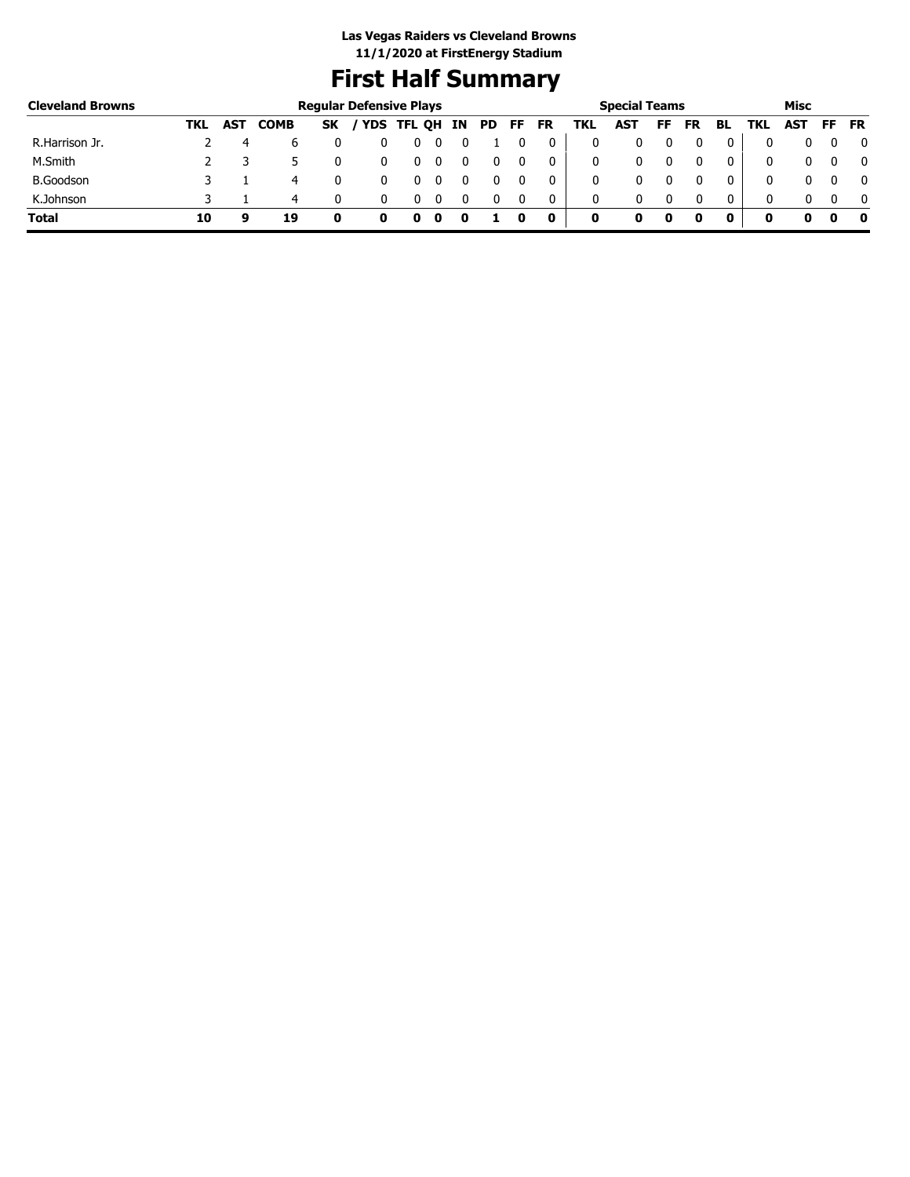## **First Half Summary**

| <b>Cleveland Browns</b> |     |     |             |           | <b>Regular Defensive Plays</b> |        |    |     |    |           |     | <b>Special Teams</b> |    |           |    |            | Misc       |          |           |
|-------------------------|-----|-----|-------------|-----------|--------------------------------|--------|----|-----|----|-----------|-----|----------------------|----|-----------|----|------------|------------|----------|-----------|
|                         | TKL | AST | <b>COMB</b> | <b>SK</b> | <b>YDS</b>                     | TFL QH | ΙN | PD. | FF | <b>FR</b> | TKL | <b>AST</b>           | FF | <b>FR</b> | BL | <b>TKL</b> | <b>AST</b> | FF.      | <b>FR</b> |
| R.Harrison Jr.          |     | 4   | ь           |           |                                |        |    |     |    |           | 0   |                      |    |           |    |            |            |          |           |
| M.Smith                 |     |     |             |           |                                |        |    |     |    |           | 0   |                      |    |           |    | 0          | 0          |          |           |
| <b>B.Goodson</b>        |     |     | 4           |           |                                |        |    |     |    |           | 0   |                      |    |           |    | 0          | 0          |          |           |
| K.Johnson               |     |     | 4           |           |                                |        |    |     |    | 0         | 0   | 0                    |    |           | 0  | 0          | 0          | $\Omega$ |           |
| <b>Total</b>            | 10  | a   | 19          |           | o                              |        |    |     |    | 0         | 0   |                      |    |           | 0  | 0          |            | o        |           |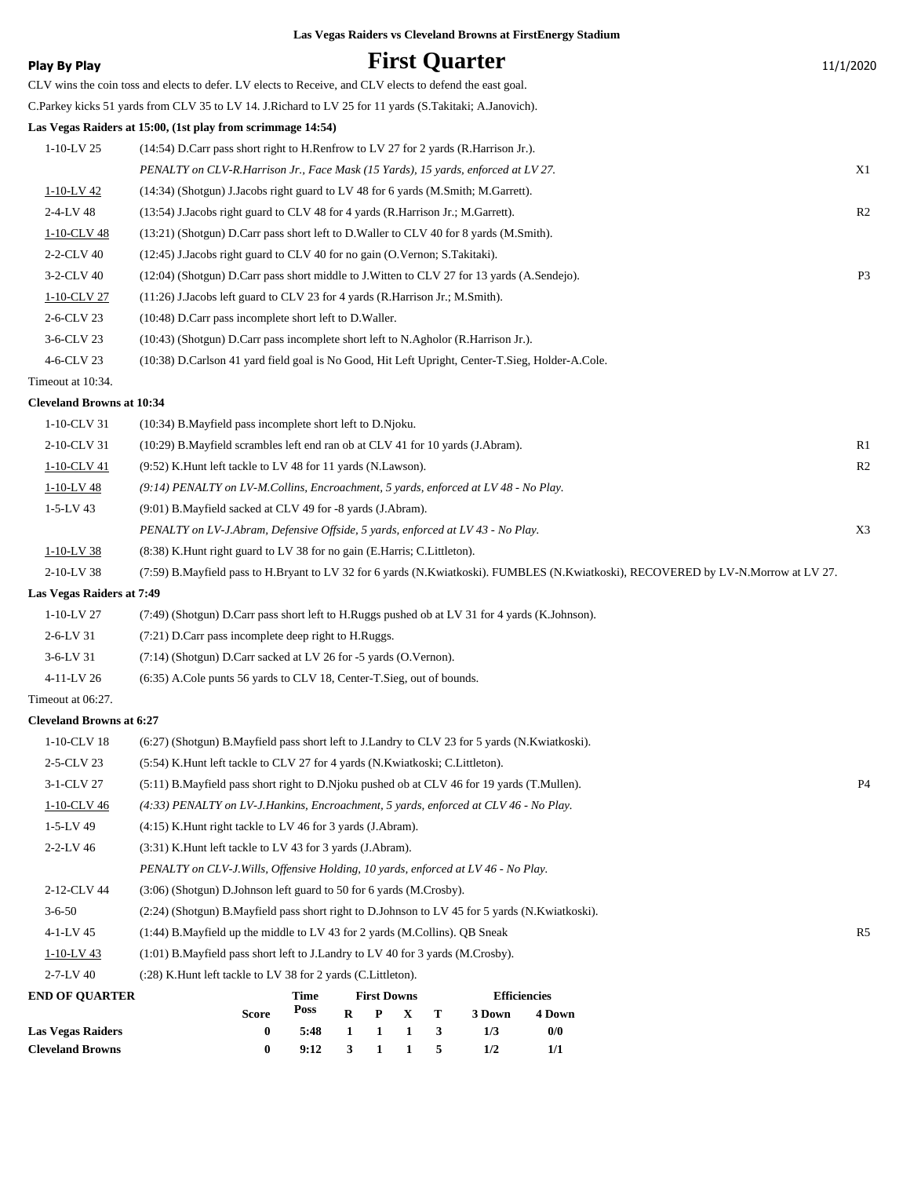| <b>Play By Play</b>              |                                                                                                           |              |                  |                    |                             |        | <b>First Quarter</b> |                     |                                                                                                                                    | 11/1/2020      |
|----------------------------------|-----------------------------------------------------------------------------------------------------------|--------------|------------------|--------------------|-----------------------------|--------|----------------------|---------------------|------------------------------------------------------------------------------------------------------------------------------------|----------------|
|                                  | CLV wins the coin toss and elects to defer. LV elects to Receive, and CLV elects to defend the east goal. |              |                  |                    |                             |        |                      |                     |                                                                                                                                    |                |
|                                  | C.Parkey kicks 51 yards from CLV 35 to LV 14. J.Richard to LV 25 for 11 yards (S.Takitaki; A.Janovich).   |              |                  |                    |                             |        |                      |                     |                                                                                                                                    |                |
|                                  | Las Vegas Raiders at 15:00, (1st play from scrimmage 14:54)                                               |              |                  |                    |                             |        |                      |                     |                                                                                                                                    |                |
| $1-10-LV$ 25                     | $(14:54)$ D.Carr pass short right to H.Renfrow to LV 27 for 2 yards (R.Harrison Jr.).                     |              |                  |                    |                             |        |                      |                     |                                                                                                                                    |                |
|                                  | PENALTY on CLV-R.Harrison Jr., Face Mask (15 Yards), 15 yards, enforced at LV 27.                         |              |                  |                    |                             |        |                      |                     |                                                                                                                                    | X1             |
| 1-10-LV 42                       | (14:34) (Shotgun) J.Jacobs right guard to LV 48 for 6 yards (M.Smith; M.Garrett).                         |              |                  |                    |                             |        |                      |                     |                                                                                                                                    |                |
| 2-4-LV 48                        | (13:54) J.Jacobs right guard to CLV 48 for 4 yards (R.Harrison Jr.; M.Garrett).                           |              |                  |                    |                             |        |                      |                     |                                                                                                                                    | R <sub>2</sub> |
| 1-10-CLV 48                      | (13:21) (Shotgun) D.Carr pass short left to D.Waller to CLV 40 for 8 yards (M.Smith).                     |              |                  |                    |                             |        |                      |                     |                                                                                                                                    |                |
| 2-2-CLV 40                       | (12:45) J.Jacobs right guard to CLV 40 for no gain (O.Vernon; S.Takitaki).                                |              |                  |                    |                             |        |                      |                     |                                                                                                                                    |                |
| 3-2-CLV 40                       | (12:04) (Shotgun) D.Carr pass short middle to J.Witten to CLV 27 for 13 yards (A.Sendejo).                |              |                  |                    |                             |        |                      |                     |                                                                                                                                    | P <sub>3</sub> |
| 1-10-CLV 27                      | $(11:26)$ J.Jacobs left guard to CLV 23 for 4 yards (R.Harrison Jr.; M.Smith).                            |              |                  |                    |                             |        |                      |                     |                                                                                                                                    |                |
| 2-6-CLV 23                       | (10:48) D.Carr pass incomplete short left to D.Waller.                                                    |              |                  |                    |                             |        |                      |                     |                                                                                                                                    |                |
| 3-6-CLV 23                       | (10:43) (Shotgun) D.Carr pass incomplete short left to N.Agholor (R.Harrison Jr.).                        |              |                  |                    |                             |        |                      |                     |                                                                                                                                    |                |
| 4-6-CLV 23                       | (10:38) D.Carlson 41 yard field goal is No Good, Hit Left Upright, Center-T.Sieg, Holder-A.Cole.          |              |                  |                    |                             |        |                      |                     |                                                                                                                                    |                |
| Timeout at 10:34.                |                                                                                                           |              |                  |                    |                             |        |                      |                     |                                                                                                                                    |                |
| <b>Cleveland Browns at 10:34</b> |                                                                                                           |              |                  |                    |                             |        |                      |                     |                                                                                                                                    |                |
| 1-10-CLV 31                      | (10:34) B. Mayfield pass incomplete short left to D. Njoku.                                               |              |                  |                    |                             |        |                      |                     |                                                                                                                                    |                |
| 2-10-CLV 31                      | (10:29) B. Mayfield scrambles left end ran ob at CLV 41 for 10 yards (J. Abram).                          |              |                  |                    |                             |        |                      |                     |                                                                                                                                    | R1             |
| 1-10-CLV 41                      | (9:52) K. Hunt left tackle to LV 48 for 11 yards (N. Lawson).                                             |              |                  |                    |                             |        |                      |                     |                                                                                                                                    | R <sub>2</sub> |
| $1-10-LV$ 48                     | $(9.14)$ PENALTY on LV-M.Collins, Encroachment, 5 yards, enforced at LV 48 - No Play.                     |              |                  |                    |                             |        |                      |                     |                                                                                                                                    |                |
| $1 - 5 - LV$ 43                  | (9:01) B. Mayfield sacked at CLV 49 for -8 yards (J. Abram).                                              |              |                  |                    |                             |        |                      |                     |                                                                                                                                    |                |
|                                  | PENALTY on LV-J.Abram, Defensive Offside, 5 yards, enforced at LV 43 - No Play.                           |              |                  |                    |                             |        |                      |                     |                                                                                                                                    | X3             |
| $1-10-LV$ 38                     | (8:38) K. Hunt right guard to LV 38 for no gain (E. Harris; C. Littleton).                                |              |                  |                    |                             |        |                      |                     |                                                                                                                                    |                |
| 2-10-LV 38                       |                                                                                                           |              |                  |                    |                             |        |                      |                     | (7:59) B.Mayfield pass to H.Bryant to LV 32 for 6 yards (N.Kwiatkoski). FUMBLES (N.Kwiatkoski), RECOVERED by LV-N.Morrow at LV 27. |                |
| Las Vegas Raiders at 7:49        |                                                                                                           |              |                  |                    |                             |        |                      |                     |                                                                                                                                    |                |
| $1 - 10 - LV$ 27                 | (7:49) (Shotgun) D.Carr pass short left to H.Ruggs pushed ob at LV 31 for 4 yards (K.Johnson).            |              |                  |                    |                             |        |                      |                     |                                                                                                                                    |                |
| 2-6-LV 31                        | (7:21) D.Carr pass incomplete deep right to H.Ruggs.                                                      |              |                  |                    |                             |        |                      |                     |                                                                                                                                    |                |
| 3-6-LV 31                        | $(7:14)$ (Shotgun) D.Carr sacked at LV 26 for -5 yards (O.Vernon).                                        |              |                  |                    |                             |        |                      |                     |                                                                                                                                    |                |
| 4-11-LV 26                       | (6:35) A.Cole punts 56 yards to CLV 18, Center-T.Sieg, out of bounds.                                     |              |                  |                    |                             |        |                      |                     |                                                                                                                                    |                |
| Timeout at 06:27.                |                                                                                                           |              |                  |                    |                             |        |                      |                     |                                                                                                                                    |                |
| <b>Cleveland Browns at 6:27</b>  |                                                                                                           |              |                  |                    |                             |        |                      |                     |                                                                                                                                    |                |
| 1-10-CLV 18                      | (6:27) (Shotgun) B.Mayfield pass short left to J.Landry to CLV 23 for 5 yards (N.Kwiatkoski).             |              |                  |                    |                             |        |                      |                     |                                                                                                                                    |                |
| 2-5-CLV 23                       | (5:54) K.Hunt left tackle to CLV 27 for 4 yards (N.Kwiatkoski; C.Littleton).                              |              |                  |                    |                             |        |                      |                     |                                                                                                                                    |                |
| 3-1-CLV 27                       | (5:11) B. Mayfield pass short right to D. Njoku pushed ob at CLV 46 for 19 yards (T. Mullen).             |              |                  |                    |                             |        |                      |                     |                                                                                                                                    | P4             |
| 1-10-CLV 46                      | (4:33) PENALTY on LV-J.Hankins, Encroachment, 5 yards, enforced at CLV 46 - No Play.                      |              |                  |                    |                             |        |                      |                     |                                                                                                                                    |                |
| 1-5-LV 49                        | (4:15) K. Hunt right tackle to LV 46 for 3 yards (J. Abram).                                              |              |                  |                    |                             |        |                      |                     |                                                                                                                                    |                |
| 2-2-LV 46                        | (3:31) K. Hunt left tackle to LV 43 for 3 yards (J. Abram).                                               |              |                  |                    |                             |        |                      |                     |                                                                                                                                    |                |
|                                  | PENALTY on CLV-J. Wills, Offensive Holding, 10 yards, enforced at LV 46 - No Play.                        |              |                  |                    |                             |        |                      |                     |                                                                                                                                    |                |
| 2-12-CLV 44                      | (3:06) (Shotgun) D.Johnson left guard to 50 for 6 yards (M.Crosby).                                       |              |                  |                    |                             |        |                      |                     |                                                                                                                                    |                |
| $3 - 6 - 50$                     | (2:24) (Shotgun) B.Mayfield pass short right to D.Johnson to LV 45 for 5 yards (N.Kwiatkoski).            |              |                  |                    |                             |        |                      |                     |                                                                                                                                    |                |
| 4-1-LV 45                        | $(1:44)$ B. Mayfield up the middle to LV 43 for 2 yards (M. Collins). QB Sneak                            |              |                  |                    |                             |        |                      |                     |                                                                                                                                    | R5             |
| $1-10-LV$ 43                     | (1:01) B. Mayfield pass short left to J. Landry to LV 40 for 3 yards (M. Crosby).                         |              |                  |                    |                             |        |                      |                     |                                                                                                                                    |                |
| 2-7-LV 40                        | (:28) K. Hunt left tackle to LV 38 for 2 yards (C. Littleton).                                            |              |                  |                    |                             |        |                      |                     |                                                                                                                                    |                |
| <b>END OF QUARTER</b>            |                                                                                                           | Time<br>Poss |                  | <b>First Downs</b> |                             |        |                      | <b>Efficiencies</b> |                                                                                                                                    |                |
| <b>Las Vegas Raiders</b>         | Score<br>$\bf{0}$                                                                                         | 5:48         | $\mathbf R$<br>1 | P<br>1             | $\mathbf X$<br>$\mathbf{1}$ | т<br>3 | 3 Down<br>1/3        | 4 Down<br>0/0       |                                                                                                                                    |                |
| <b>Cleveland Browns</b>          | $\bf{0}$                                                                                                  | 9:12         | 3                | 1                  | 1                           | 5      | 1/2                  | 1/1                 |                                                                                                                                    |                |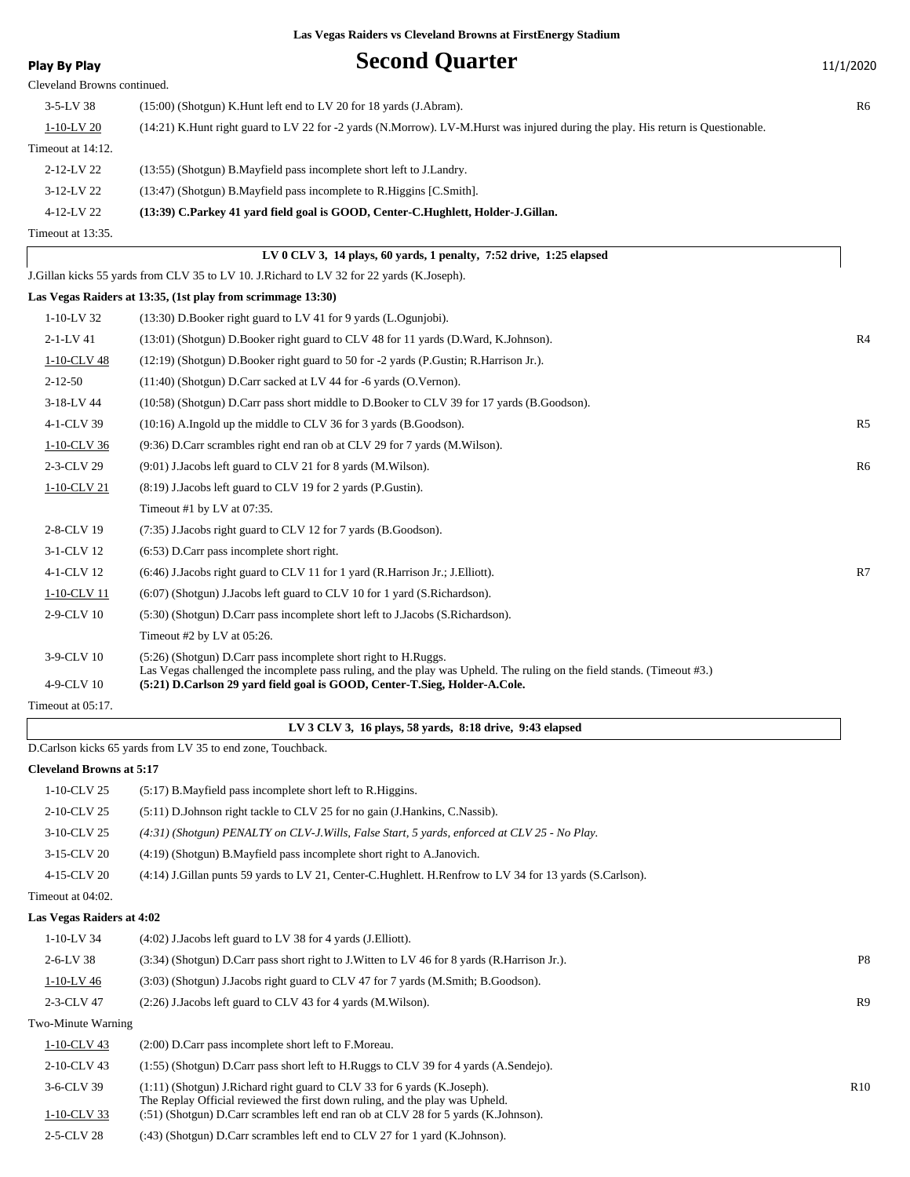**Play By Play Play Play Second Quarter** 11/1/2020

| Cleveland Drowns continued. |                                                                                                                                  |    |
|-----------------------------|----------------------------------------------------------------------------------------------------------------------------------|----|
| $3-5-LV$ 38                 | (15:00) (Shotgun) K.Hunt left end to LV 20 for 18 yards (J.Abram).                                                               | R6 |
| $1-10-LV$ 20                | (14:21) K.Hunt right guard to LV 22 for -2 yards (N.Morrow). LV-M.Hurst was injured during the play. His return is Questionable. |    |
| Timeout at 14:12.           |                                                                                                                                  |    |
| 2-12-LV 22                  | (13:55) (Shotgun) B. Mayfield pass incomplete short left to J. Landry.                                                           |    |
| $3-12-LV$ 22                | $(13:47)$ (Shotgun) B. Mayfield pass incomplete to R. Higgins [C. Smith].                                                        |    |
| 4-12-LV 22                  | (13:39) C.Parkey 41 yard field goal is GOOD, Center-C.Hughlett, Holder-J.Gillan.                                                 |    |
|                             |                                                                                                                                  |    |

Timeout at 13:35.

|  | LV 0 CLV 3, 14 plays, 60 yards, 1 penalty, $7:52$ drive, $1:25$ elapsed |  |  |
|--|-------------------------------------------------------------------------|--|--|
|--|-------------------------------------------------------------------------|--|--|

J.Gillan kicks 55 yards from CLV 35 to LV 10. J.Richard to LV 32 for 22 yards (K.Joseph).

|                   | Las Vegas Raiders at 13:35, (1st play from scrimmage 13:30)                                                                                                                                           |                |
|-------------------|-------------------------------------------------------------------------------------------------------------------------------------------------------------------------------------------------------|----------------|
| $1-10-LV$ 32      | (13:30) D.Booker right guard to LV 41 for 9 yards (L.Ogunjobi).                                                                                                                                       |                |
| $2 - 1 - LV$ 41   | (13:01) (Shotgun) D.Booker right guard to CLV 48 for 11 yards (D.Ward, K.Johnson).                                                                                                                    | R4             |
| 1-10-CLV 48       | $(12:19)$ (Shotgun) D. Booker right guard to 50 for $-2$ yards (P. Gustin; R. Harrison Jr.).                                                                                                          |                |
| $2 - 12 - 50$     | $(11:40)$ (Shotgun) D.Carr sacked at LV 44 for -6 yards (O.Vernon).                                                                                                                                   |                |
| 3-18-LV 44        | (10:58) (Shotgun) D.Carr pass short middle to D.Booker to CLV 39 for 17 yards (B.Goodson).                                                                                                            |                |
| 4-1-CLV 39        | $(10:16)$ A.Ingold up the middle to CLV 36 for 3 yards (B.Goodson).                                                                                                                                   | R <sub>5</sub> |
| 1-10-CLV 36       | (9:36) D.Carr scrambles right end ran ob at CLV 29 for 7 yards (M.Wilson).                                                                                                                            |                |
| 2-3-CLV 29        | (9:01) J.Jacobs left guard to CLV 21 for 8 yards (M.Wilson).                                                                                                                                          | R6             |
| 1-10-CLV 21       | (8:19) J.Jacobs left guard to CLV 19 for 2 yards (P.Gustin).                                                                                                                                          |                |
|                   | Timeout #1 by LV at $07:35$ .                                                                                                                                                                         |                |
| 2-8-CLV 19        | (7:35) J.Jacobs right guard to CLV 12 for 7 yards (B.Goodson).                                                                                                                                        |                |
| 3-1-CLV 12        | $(6:53)$ D.Carr pass incomplete short right.                                                                                                                                                          |                |
| 4-1-CLV 12        | (6:46) J. Jacobs right guard to CLV 11 for 1 yard (R. Harrison Jr.; J. Elliott).                                                                                                                      | R7             |
| 1-10-CLV 11       | (6:07) (Shotgun) J.Jacobs left guard to CLV 10 for 1 yard (S.Richardson).                                                                                                                             |                |
| 2-9-CLV 10        | (5:30) (Shotgun) D.Carr pass incomplete short left to J.Jacobs (S.Richardson).                                                                                                                        |                |
|                   | Timeout #2 by LV at $05:26$ .                                                                                                                                                                         |                |
| 3-9-CLV 10        | $(5:26)$ (Shotgun) D.Carr pass incomplete short right to H.Ruggs.                                                                                                                                     |                |
| 4-9-CLV 10        | Las Vegas challenged the incomplete pass ruling, and the play was Upheld. The ruling on the field stands. (Timeout #3.)<br>(5:21) D.Carlson 29 yard field goal is GOOD, Center-T.Sieg, Holder-A.Cole. |                |
| Timeout at 05:17. |                                                                                                                                                                                                       |                |
|                   |                                                                                                                                                                                                       |                |

#### **LV 3 CLV 3, 16 plays, 58 yards, 8:18 drive, 9:43 elapsed**

D.Carlson kicks 65 yards from LV 35 to end zone, Touchback.

#### **Cleveland Browns at 5:17**

| $1-10$ -CLV 25    | $(5:17)$ B. Mayfield pass incomplete short left to R. Higgins.                                           |
|-------------------|----------------------------------------------------------------------------------------------------------|
| 2-10-CLV 25       | (5.11) D.Johnson right tackle to CLV 25 for no gain (J.Hankins, C.Nassib).                               |
| 3-10-CLV 25       | $(4:31)$ (Shotgun) PENALTY on CLV-J. Wills, False Start, 5 yards, enforced at CLV 25 - No Play.          |
| 3-15-CLV 20       | $(4:19)$ (Shotgun) B. Mayfield pass incomplete short right to A. Janovich.                               |
| 4-15-CLV 20       | (4:14) J.Gillan punts 59 yards to LV 21, Center-C.Hughlett. H.Renfrow to LV 34 for 13 yards (S.Carlson). |
| Timeout at 04:02. |                                                                                                          |

#### **Las Vegas Raiders at 4:02**

| $1 - 10 - LV$ 34   | $(4:02)$ J. Jacobs left guard to LV 38 for 4 yards (J. Elliott).                                                                                         |                |
|--------------------|----------------------------------------------------------------------------------------------------------------------------------------------------------|----------------|
| $2-6-LV$ 38        | (3:34) (Shotgun) D.Carr pass short right to J.Witten to LV 46 for 8 yards (R.Harrison Jr.).                                                              | P <sub>8</sub> |
| $1-10-LV$ 46       | (3:03) (Shotgun) J.Jacobs right guard to CLV 47 for 7 yards (M.Smith; B.Goodson).                                                                        |                |
| 2-3-CLV 47         | $(2:26)$ J. Jacobs left guard to CLV 43 for 4 yards $(M.Wilson)$ .                                                                                       | R <sub>9</sub> |
| Two-Minute Warning |                                                                                                                                                          |                |
| $1-10$ -CLV 43     | $(2:00)$ D.Carr pass incomplete short left to F.Moreau.                                                                                                  |                |
| 2-10-CLV 43        | (1:55) (Shotgun) D.Carr pass short left to H.Ruggs to CLV 39 for 4 yards (A.Sendejo).                                                                    |                |
| 3-6-CLV 39         | (1:11) (Shotgun) J.Richard right guard to CLV 33 for 6 yards (K.Joseph).<br>The Replay Official reviewed the first down ruling, and the play was Upheld. | R10            |

1-10-CLV 33 (:51) (Shotgun) D.Carr scrambles left end ran ob at CLV 28 for 5 yards (K.Johnson). 2-5-CLV 28 (:43) (Shotgun) D.Carr scrambles left end to CLV 27 for 1 yard (K.Johnson).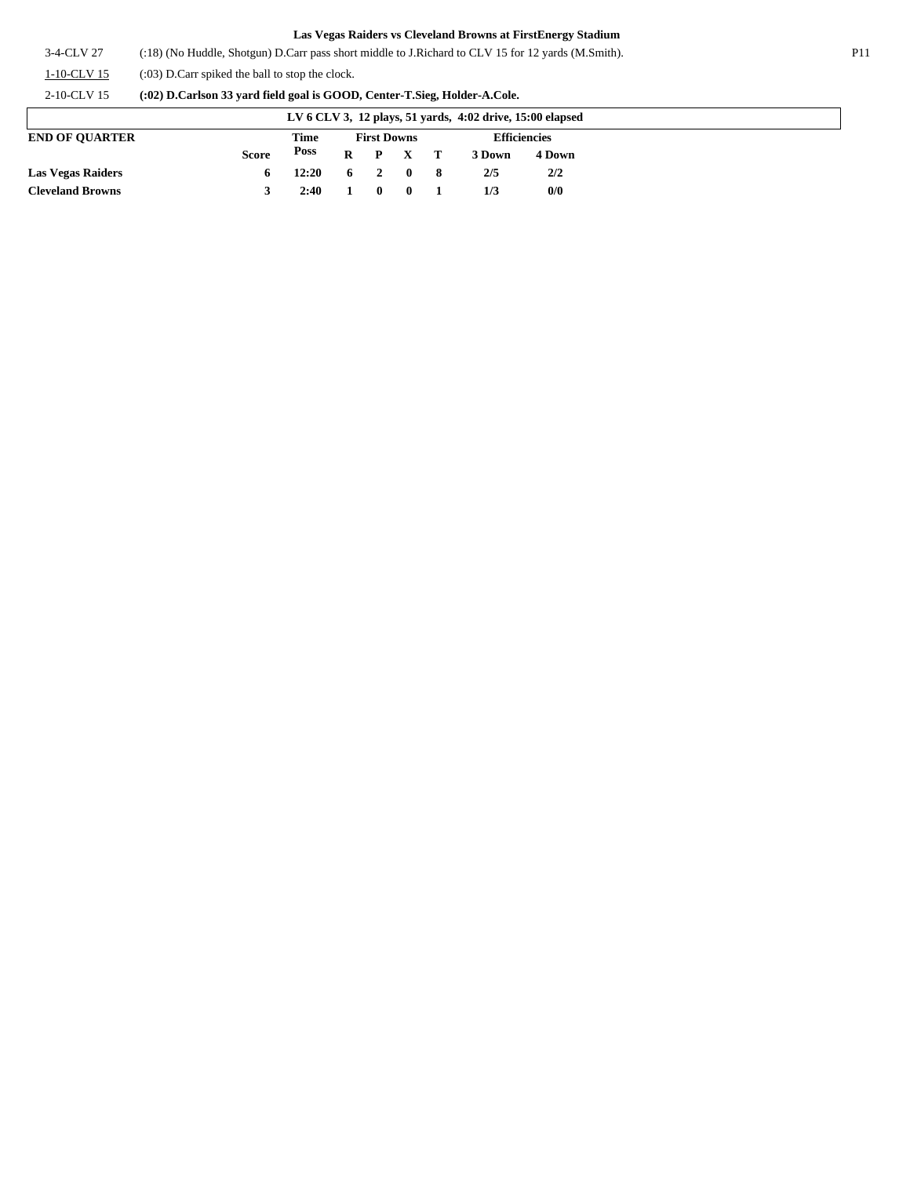3-4-CLV 27 (:18) (No Huddle, Shotgun) D.Carr pass short middle to J.Richard to CLV 15 for 12 yards (M.Smith). P11

1-10-CLV 15 (:03) D.Carr spiked the ball to stop the clock.

2-10-CLV 15 **(:02) D.Carlson 33 yard field goal is GOOD, Center-T.Sieg, Holder-A.Cole.**

| LV 6 CLV 3, 12 plays, 51 yards, 4:02 drive, 15:00 elapsed |              |                        |                    |  |                                            |                     |        |        |
|-----------------------------------------------------------|--------------|------------------------|--------------------|--|--------------------------------------------|---------------------|--------|--------|
| <b>END OF OUARTER</b>                                     |              | Time                   | <b>First Downs</b> |  |                                            | <b>Efficiencies</b> |        |        |
|                                                           | <b>Score</b> | Poss                   |                    |  | $R$ $P$ $X$ $T$                            |                     | 3 Down | 4 Down |
| <b>Las Vegas Raiders</b>                                  |              | $12:20 \t 6 \t 2 \t 0$ |                    |  |                                            | - 8                 | 2/5    | 2/2    |
| <b>Cleveland Browns</b>                                   |              | 2:40                   | $1 \quad 0$        |  | $\begin{array}{ccc} & & 0 & 1 \end{array}$ |                     | 1/3    | 0/0    |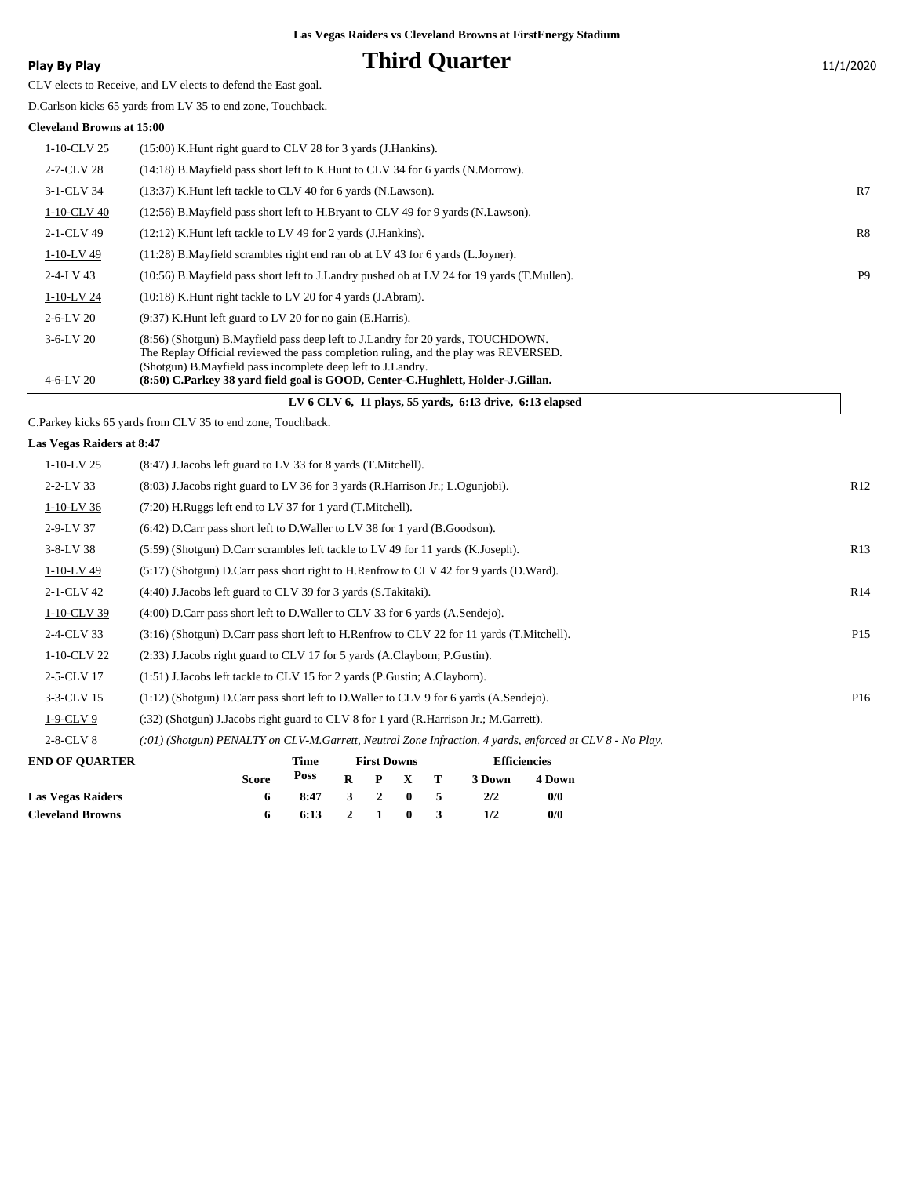### **Phird Quarter** 11/1/2020

|  |  | Play By Play |
|--|--|--------------|
|--|--|--------------|

CLV elects to Receive, and LV elects to defend the East goal.

D.Carlson kicks 65 yards from LV 35 to end zone, Touchback.

#### **Cleveland Browns at 15:00**

|                 | LV 6 CLV 6, 11 plays, 55 vards, $6:13$ drive, $6:13$ elapsed                                                                                                             |                |  |  |  |  |  |
|-----------------|--------------------------------------------------------------------------------------------------------------------------------------------------------------------------|----------------|--|--|--|--|--|
| $4 - 6 - LV$ 20 | (Shotgun) B.Mayfield pass incomplete deep left to J.Landry.<br>(8:50) C.Parkey 38 yard field goal is GOOD, Center-C.Hughlett, Holder-J.Gillan.                           |                |  |  |  |  |  |
| $3-6-LV$ 20     | (8.56) (Shotgun) B. Mayfield pass deep left to J. Landry for 20 yards, TOUCHDOWN.<br>The Replay Official reviewed the pass completion ruling, and the play was REVERSED. |                |  |  |  |  |  |
| $2 - 6 - LV$ 20 | $(9:37)$ K. Hunt left guard to LV 20 for no gain (E. Harris).                                                                                                            |                |  |  |  |  |  |
| $1-10-LV$ 24    | $(10:18)$ K. Hunt right tackle to LV 20 for 4 yards $(J.$ Abram $)$ .                                                                                                    |                |  |  |  |  |  |
| $2 - 4 - LV$ 43 | (10:56) B. Mayfield pass short left to J. Landry pushed ob at LV 24 for 19 yards (T. Mullen).                                                                            | P <sub>9</sub> |  |  |  |  |  |
| $1-10-LV$ 49    | (11:28) B. Mayfield scrambles right end ran ob at LV 43 for 6 yards (L. Joyner).                                                                                         |                |  |  |  |  |  |
| 2-1-CLV 49      | $(12:12)$ K. Hunt left tackle to LV 49 for 2 yards (J. Hankins).                                                                                                         | R8             |  |  |  |  |  |
| 1-10-CLV 40     | (12:56) B. Mayfield pass short left to H. Bryant to CLV 49 for 9 yards (N. Lawson).                                                                                      |                |  |  |  |  |  |
| 3-1-CLV 34      | (13:37) K. Hunt left tackle to CLV 40 for 6 yards (N. Lawson).                                                                                                           | R7             |  |  |  |  |  |
| 2-7-CLV 28      | (14:18) B. Mayfield pass short left to K. Hunt to CLV 34 for 6 yards (N. Morrow).                                                                                        |                |  |  |  |  |  |
| $1-10$ -CLV 25  | $(15:00)$ K. Hunt right guard to CLV 28 for 3 yards (J. Hankins).                                                                                                        |                |  |  |  |  |  |
|                 |                                                                                                                                                                          |                |  |  |  |  |  |

C.Parkey kicks 65 yards from CLV 35 to end zone, Touchback.

#### **Las Vegas Raiders at 8:47**

 $\sqrt{2}$ 

| $1-10-LV$ 25    | (8:47) J. Jacobs left guard to LV 33 for 8 yards (T. Mitchell).                                             |                 |
|-----------------|-------------------------------------------------------------------------------------------------------------|-----------------|
| $2 - 2 - LV$ 33 | $(8.03)$ J.Jacobs right guard to LV 36 for 3 yards (R.Harrison Jr.; L.Ogunjobi).                            | R12             |
| $1-10-LV$ 36    | $(7:20)$ H.Ruggs left end to LV 37 for 1 yard $(T.Mitchell)$ .                                              |                 |
| $2-9-LV$ 37     | $(6:42)$ D.Carr pass short left to D.Waller to LV 38 for 1 yard (B.Goodson).                                |                 |
| $3 - 8 - LV$ 38 | (5:59) (Shotgun) D.Carr scrambles left tackle to LV 49 for 11 yards (K.Joseph).                             | R13             |
| 1-10-LV 49      | (5:17) (Shotgun) D.Carr pass short right to H.Renfrow to CLV 42 for 9 yards (D.Ward).                       |                 |
| 2-1-CLV 42      | (4:40) J. Jacobs left guard to CLV 39 for 3 yards (S. Takitaki).                                            | R14             |
| 1-10-CLV 39     | $(4:00)$ D.Carr pass short left to D.Waller to CLV 33 for 6 yards $(A.Sendeio)$ .                           |                 |
| 2-4-CLV 33      | (3:16) (Shotgun) D.Carr pass short left to H.Renfrow to CLV 22 for 11 yards (T.Mitchell).                   | P <sub>15</sub> |
| 1-10-CLV 22     | (2:33) J.Jacobs right guard to CLV 17 for 5 yards (A.Clayborn; P.Gustin).                                   |                 |
| 2-5-CLV 17      | (1:51) J.Jacobs left tackle to CLV 15 for 2 yards (P.Gustin; A.Clayborn).                                   |                 |
| 3-3-CLV 15      | $(1:12)$ (Shotgun) D.Carr pass short left to D.Waller to CLV 9 for 6 yards (A.Sendejo).                     | P <sub>16</sub> |
| $1-9$ -CLV $9$  | $(32)$ (Shotgun) J.Jacobs right guard to CLV 8 for 1 yard (R.Harrison Jr.; M.Garrett).                      |                 |
| $2-8$ -CLV $8$  | $(0.01)$ (Shotgun) PENALTY on CLV-M.Garrett, Neutral Zone Infraction, 4 yards, enforced at CLV 8 - No Play. |                 |
|                 |                                                                                                             |                 |

| <b>END OF OUARTER</b>   |              | Time                   | <b>First Downs</b> |  |                 |  | <b>Efficiencies</b> |        |
|-------------------------|--------------|------------------------|--------------------|--|-----------------|--|---------------------|--------|
|                         | <b>Score</b> | Poss                   |                    |  | $R$ $P$ $X$ $T$ |  | 3 Down              | 4 Down |
| Las Vegas Raiders       | 6            | 8:47 3 2 0 5           |                    |  |                 |  | 2/2                 | 0/0    |
| <b>Cleveland Browns</b> |              | $6:13 \t2 \t1 \t0 \t3$ |                    |  |                 |  |                     | 0/0    |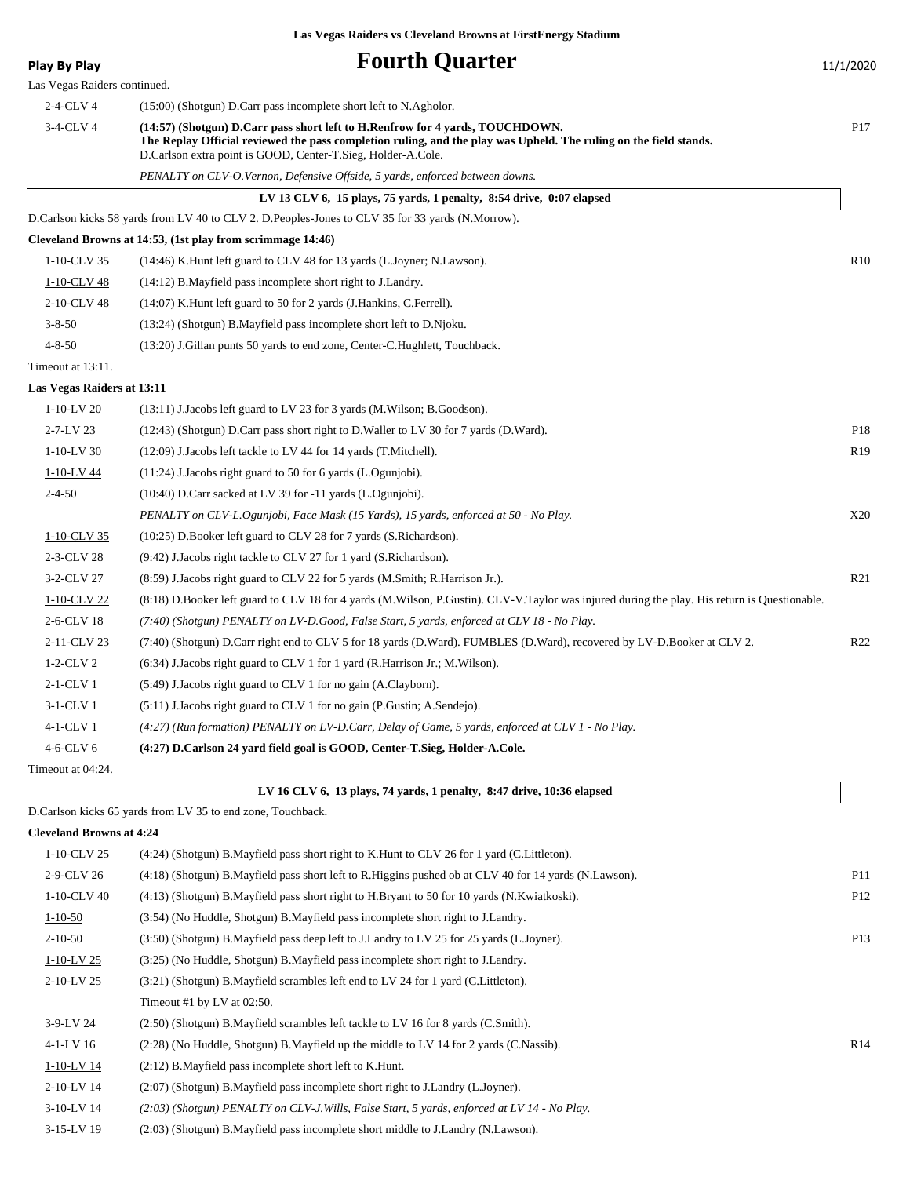| <b>Play By Play</b>             | <b>Fourth Quarter</b>                                                                                                                                                                                                                                                                                                                   | 11/1/2020       |
|---------------------------------|-----------------------------------------------------------------------------------------------------------------------------------------------------------------------------------------------------------------------------------------------------------------------------------------------------------------------------------------|-----------------|
| Las Vegas Raiders continued.    |                                                                                                                                                                                                                                                                                                                                         |                 |
| 2-4-CLV 4<br>3-4-CLV 4          | (15:00) (Shotgun) D.Carr pass incomplete short left to N.Agholor.<br>(14:57) (Shotgun) D.Carr pass short left to H.Renfrow for 4 yards, TOUCHDOWN.<br>The Replay Official reviewed the pass completion ruling, and the play was Upheld. The ruling on the field stands.<br>D.Carlson extra point is GOOD, Center-T.Sieg, Holder-A.Cole. | P <sub>17</sub> |
|                                 | PENALTY on CLV-O.Vernon, Defensive Offside, 5 yards, enforced between downs.                                                                                                                                                                                                                                                            |                 |
|                                 | LV 13 CLV 6, 15 plays, 75 yards, 1 penalty, $8:54$ drive, $0:07$ elapsed                                                                                                                                                                                                                                                                |                 |
|                                 | D.Carlson kicks 58 yards from LV 40 to CLV 2. D.Peoples-Jones to CLV 35 for 33 yards (N.Morrow).                                                                                                                                                                                                                                        |                 |
|                                 | Cleveland Browns at 14:53, (1st play from scrimmage 14:46)                                                                                                                                                                                                                                                                              |                 |
| 1-10-CLV 35                     | (14:46) K.Hunt left guard to CLV 48 for 13 yards (L.Joyner; N.Lawson).                                                                                                                                                                                                                                                                  | R10             |
| 1-10-CLV 48                     | (14:12) B. Mayfield pass incomplete short right to J. Landry.                                                                                                                                                                                                                                                                           |                 |
| 2-10-CLV 48                     | (14:07) K. Hunt left guard to 50 for 2 yards (J. Hankins, C. Ferrell).                                                                                                                                                                                                                                                                  |                 |
| $3 - 8 - 50$                    | (13:24) (Shotgun) B.Mayfield pass incomplete short left to D.Njoku.                                                                                                                                                                                                                                                                     |                 |
| $4 - 8 - 50$                    | (13:20) J. Gillan punts 50 yards to end zone, Center-C. Hughlett, Touchback.                                                                                                                                                                                                                                                            |                 |
| Timeout at 13:11.               |                                                                                                                                                                                                                                                                                                                                         |                 |
| Las Vegas Raiders at 13:11      |                                                                                                                                                                                                                                                                                                                                         |                 |
| $1-10-LV$ 20                    | $(13:11)$ J.Jacobs left guard to LV 23 for 3 yards (M.Wilson; B.Goodson).                                                                                                                                                                                                                                                               |                 |
| 2-7-LV 23                       | $(12:43)$ (Shotgun) D.Carr pass short right to D.Waller to LV 30 for 7 yards (D.Ward).                                                                                                                                                                                                                                                  | P <sub>18</sub> |
| 1-10-LV 30                      | $(12:09)$ J. Jacobs left tackle to LV 44 for 14 yards (T. Mitchell).                                                                                                                                                                                                                                                                    | R <sub>19</sub> |
| 1-10-LV 44                      | $(11:24)$ J. Jacobs right guard to 50 for 6 yards $(L. Ogunjobi)$ .                                                                                                                                                                                                                                                                     |                 |
| $2 - 4 - 50$                    | $(10:40)$ D.Carr sacked at LV 39 for -11 yards (L.Ogunjobi).                                                                                                                                                                                                                                                                            |                 |
|                                 | PENALTY on CLV-L.Ogunjobi, Face Mask (15 Yards), 15 yards, enforced at 50 - No Play.                                                                                                                                                                                                                                                    | X20             |
| 1-10-CLV 35                     | (10:25) D.Booker left guard to CLV 28 for 7 yards (S.Richardson).                                                                                                                                                                                                                                                                       |                 |
| 2-3-CLV 28                      | (9:42) J.Jacobs right tackle to CLV 27 for 1 yard (S.Richardson).                                                                                                                                                                                                                                                                       |                 |
| 3-2-CLV 27                      | (8.59) J.Jacobs right guard to CLV 22 for 5 yards (M.Smith; R.Harrison Jr.).                                                                                                                                                                                                                                                            | R21             |
| 1-10-CLV 22                     | (8:18) D.Booker left guard to CLV 18 for 4 yards (M.Wilson, P.Gustin). CLV-V.Taylor was injured during the play. His return is Questionable.                                                                                                                                                                                            |                 |
| 2-6-CLV 18                      | (7:40) (Shotgun) PENALTY on LV-D.Good, False Start, 5 yards, enforced at CLV 18 - No Play.                                                                                                                                                                                                                                              |                 |
| 2-11-CLV 23                     | (7:40) (Shotgun) D.Carr right end to CLV 5 for 18 yards (D.Ward). FUMBLES (D.Ward), recovered by LV-D.Booker at CLV 2.                                                                                                                                                                                                                  | R <sub>22</sub> |
| $1-2$ -CLV 2                    | $(6:34)$ J.Jacobs right guard to CLV 1 for 1 yard (R.Harrison Jr.; M.Wilson).                                                                                                                                                                                                                                                           |                 |
| $2-1-CLV1$                      | (5:49) J. Jacobs right guard to CLV 1 for no gain (A. Clayborn).                                                                                                                                                                                                                                                                        |                 |
| 3-1-CLV 1                       | (5:11) J.Jacobs right guard to CLV 1 for no gain (P.Gustin; A.Sendejo).                                                                                                                                                                                                                                                                 |                 |
| 4-1-CLV 1                       | (4:27) (Run formation) PENALTY on LV-D.Carr, Delay of Game, 5 yards, enforced at CLV 1 - No Play.                                                                                                                                                                                                                                       |                 |
| 4-6-CLV 6                       | (4:27) D.Carlson 24 yard field goal is GOOD, Center-T.Sieg, Holder-A.Cole.                                                                                                                                                                                                                                                              |                 |
| Timeout at 04:24.               |                                                                                                                                                                                                                                                                                                                                         |                 |
|                                 | LV 16 CLV 6, 13 plays, 74 yards, 1 penalty, 8:47 drive, 10:36 elapsed                                                                                                                                                                                                                                                                   |                 |
|                                 | D.Carlson kicks 65 yards from LV 35 to end zone, Touchback.                                                                                                                                                                                                                                                                             |                 |
| <b>Cleveland Browns at 4:24</b> |                                                                                                                                                                                                                                                                                                                                         |                 |
| 1-10-CLV 25                     | (4:24) (Shotgun) B.Mayfield pass short right to K.Hunt to CLV 26 for 1 yard (C.Littleton).                                                                                                                                                                                                                                              |                 |
| 2-9-CLV 26                      | (4:18) (Shotgun) B. Mayfield pass short left to R. Higgins pushed ob at CLV 40 for 14 yards (N. Lawson).                                                                                                                                                                                                                                | P11             |
| 1-10-CLV 40                     | (4:13) (Shotgun) B.Mayfield pass short right to H.Bryant to 50 for 10 yards (N.Kwiatkoski).                                                                                                                                                                                                                                             | P <sub>12</sub> |
| $1 - 10 - 50$                   | (3:54) (No Huddle, Shotgun) B. Mayfield pass incomplete short right to J. Landry.                                                                                                                                                                                                                                                       |                 |
| $2 - 10 - 50$                   | (3:50) (Shotgun) B.Mayfield pass deep left to J.Landry to LV 25 for 25 yards (L.Joyner).                                                                                                                                                                                                                                                | P13             |
| $1-10-LV$ 25                    | (3:25) (No Huddle, Shotgun) B. Mayfield pass incomplete short right to J. Landry.                                                                                                                                                                                                                                                       |                 |
| 2-10-LV 25                      | (3:21) (Shotgun) B.Mayfield scrambles left end to LV 24 for 1 yard (C.Littleton).                                                                                                                                                                                                                                                       |                 |
|                                 | Timeout #1 by LV at 02:50.                                                                                                                                                                                                                                                                                                              |                 |

3-9-LV 24 (2:50) (Shotgun) B.Mayfield scrambles left tackle to LV 16 for 8 yards (C.Smith).

4-1-LV 16 (2:28) (No Huddle, Shotgun) B.Mayfield up the middle to LV 14 for 2 yards (C.Nassib). R14

1-10-LV 14 (2:12) B.Mayfield pass incomplete short left to K.Hunt.

2-10-LV 14 (2:07) (Shotgun) B.Mayfield pass incomplete short right to J.Landry (L.Joyner).

3-10-LV 14 *(2:03) (Shotgun) PENALTY on CLV-J.Wills, False Start, 5 yards, enforced at LV 14 - No Play.*

3-15-LV 19 (2:03) (Shotgun) B.Mayfield pass incomplete short middle to J.Landry (N.Lawson).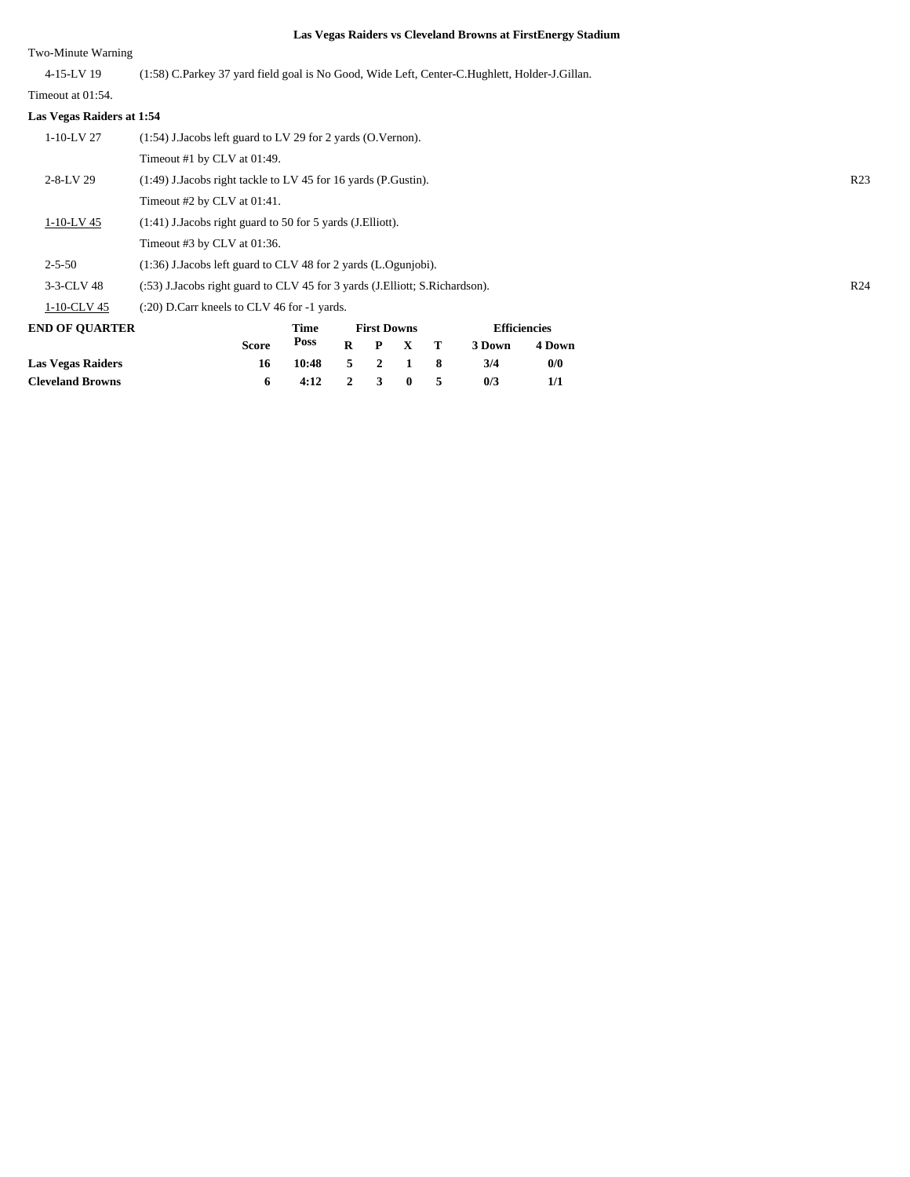#### Two-Minute Warning

| 4-15-LV 19 | (1:58) C.Parkey 37 yard field goal is No Good, Wide Left, Center-C.Hughlett, Holder-J.Gillan. |
|------------|-----------------------------------------------------------------------------------------------|

### Timeout at 01:54.

| Las Vegas Raiders at 1:54 |                                                                                                |                    |                     |                 |  |  |  |
|---------------------------|------------------------------------------------------------------------------------------------|--------------------|---------------------|-----------------|--|--|--|
| $1-10-LV$ 27              | $(1:54)$ J.Jacobs left guard to LV 29 for 2 yards $(0.Vernon).$                                |                    |                     |                 |  |  |  |
|                           | Timeout #1 by CLV at 01:49.                                                                    |                    |                     |                 |  |  |  |
| $2 - 8 - LV$ 29           | $(1:49)$ J. Jacobs right tackle to LV 45 for 16 yards (P. Gustin).                             |                    |                     | R <sub>23</sub> |  |  |  |
|                           | Timeout #2 by CLV at 01:41.                                                                    |                    |                     |                 |  |  |  |
| $1-10-LV$ 45              | $(1:41)$ J. Jacobs right guard to 50 for 5 yards (J. Elliott).                                 |                    |                     |                 |  |  |  |
|                           | Timeout #3 by CLV at 01:36.                                                                    |                    |                     |                 |  |  |  |
| $2 - 5 - 50$              | $(1:36)$ J. Jacobs left guard to CLV 48 for 2 yards $(L. Oguniobi)$ .                          |                    |                     |                 |  |  |  |
| 3-3-CLV 48                | R <sub>24</sub><br>(:53) J.Jacobs right guard to CLV 45 for 3 yards (J.Elliott; S.Richardson). |                    |                     |                 |  |  |  |
| $1-10$ -CLV 45            | $(20)$ D.Carr kneels to CLV 46 for $-1$ yards.                                                 |                    |                     |                 |  |  |  |
| <b>END OF OUARTER</b>     | Time                                                                                           | <b>First Downs</b> | <b>Efficiencies</b> |                 |  |  |  |

| <b>END OF OUARTER</b>    |       | Time             |   | <b>First Downs</b> |              |              | <b>Efficiencies</b> |        |  |
|--------------------------|-------|------------------|---|--------------------|--------------|--------------|---------------------|--------|--|
|                          | Score | Poss             | R |                    | P X          | $\mathbf{T}$ | 3 Down              | 4 Down |  |
| <b>Las Vegas Raiders</b> | 16    | 10:48            |   |                    | 5 2 1        |              | 3/4                 | 0/0    |  |
| <b>Cleveland Browns</b>  |       | $4:12 \t 2 \t 3$ |   |                    | $\mathbf{0}$ |              | 0/3                 | 1/1    |  |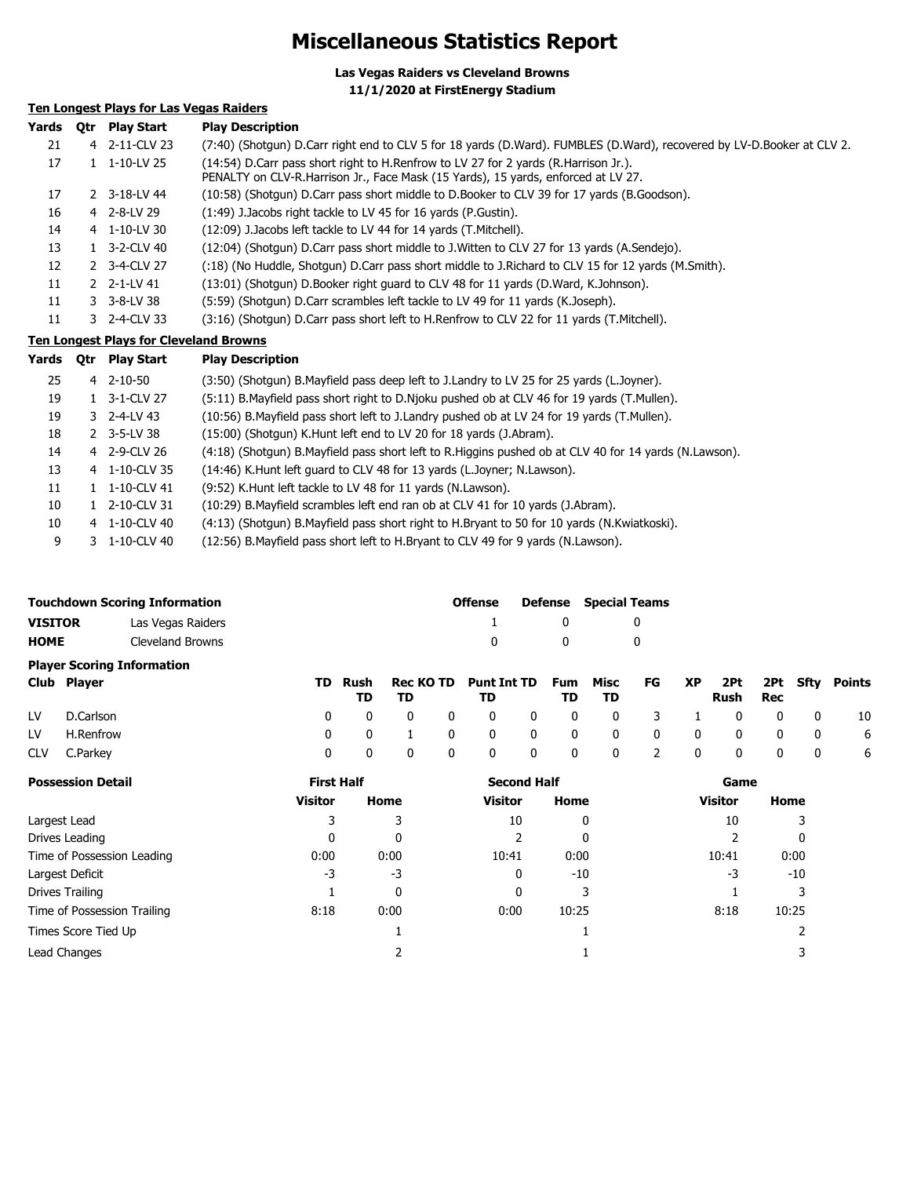### **Miscellaneous Statistics Report**

**Las Vegas Raiders vs Cleveland Browns 11/1/2020 at FirstEnergy Stadium**

### **Ten Longest Plays for Las Vegas Raiders**

| Yards | 0tr | <b>Play Start</b>                             | <b>Play Description</b>                                                                                                                                                  |
|-------|-----|-----------------------------------------------|--------------------------------------------------------------------------------------------------------------------------------------------------------------------------|
| 21    |     | 4 2-11-CLV 23                                 | (7:40) (Shotgun) D.Carr right end to CLV 5 for 18 yards (D.Ward). FUMBLES (D.Ward), recovered by LV-D.Booker at CLV 2.                                                   |
| 17    |     | $1 \quad 1 - 10 - LV$ 25                      | (14:54) D.Carr pass short right to H.Renfrow to LV 27 for 2 yards (R.Harrison Jr.).<br>PENALTY on CLV-R.Harrison Jr., Face Mask (15 Yards), 15 yards, enforced at LV 27. |
| 17    |     | 2 3-18-LV 44                                  | (10:58) (Shotgun) D.Carr pass short middle to D.Booker to CLV 39 for 17 yards (B.Goodson).                                                                               |
| 16    |     | 4 2-8-LV 29                                   | (1:49) J.Jacobs right tackle to LV 45 for 16 yards (P.Gustin).                                                                                                           |
| 14    |     | 4 1-10-LV 30                                  | (12:09) J.Jacobs left tackle to LV 44 for 14 yards (T.Mitchell).                                                                                                         |
| 13    |     | 1 3-2-CLV 40                                  | (12:04) (Shotgun) D.Carr pass short middle to J.Witten to CLV 27 for 13 yards (A.Sendejo).                                                                               |
| 12    |     | 2 3-4-CLV 27                                  | (18) (No Huddle, Shotgun) D.Carr pass short middle to J.Richard to CLV 15 for 12 yards (M.Smith).                                                                        |
| 11    |     | 2 2-1-LV 41                                   | (13:01) (Shotgun) D.Booker right guard to CLV 48 for 11 yards (D.Ward, K.Johnson).                                                                                       |
| 11    |     | 3 3-8-LV 38                                   | (5:59) (Shotqun) D.Carr scrambles left tackle to LV 49 for 11 yards (K.Joseph).                                                                                          |
| 11    |     | 3 2-4-CLV 33                                  | (3:16) (Shotqun) D.Carr pass short left to H.Renfrow to CLV 22 for 11 yards (T.Mitchell).                                                                                |
|       |     | <b>Ten Longest Plays for Cleveland Browns</b> |                                                                                                                                                                          |
|       |     | $V = -1$                                      | Disco December 1974                                                                                                                                                      |

| rargs | <b>Otr</b> | <b>Play Start</b>       | <b>Play Description</b>                                                                               |
|-------|------------|-------------------------|-------------------------------------------------------------------------------------------------------|
| 25    |            | $4$ 2-10-50             | (3:50) (Shotgun) B.Mayfield pass deep left to J.Landry to LV 25 for 25 yards (L.Joyner).              |
| 19    |            | 1 3-1-CLV 27            | (5:11) B. Mayfield pass short right to D. Njoku pushed ob at CLV 46 for 19 yards (T. Mullen).         |
| 19    |            | 3 2-4-LV 43             | (10:56) B.Mayfield pass short left to J.Landry pushed ob at LV 24 for 19 yards (T.Mullen).            |
| 18    |            | $2 \quad 3 - 5 - LV$ 38 | (15:00) (Shotgun) K.Hunt left end to LV 20 for 18 yards (J.Abram).                                    |
| 14    |            | 4 2-9-CLV 26            | (4:18) (Shotgun) B.Mayfield pass short left to R.Higgins pushed ob at CLV 40 for 14 yards (N.Lawson). |
| 13    |            | 4 1-10-CLV 35           | (14:46) K. Hunt left guard to CLV 48 for 13 yards (L. Joyner; N. Lawson).                             |
| 11    |            | 1 1-10-CLV 41           | (9:52) K.Hunt left tackle to LV 48 for 11 yards (N.Lawson).                                           |
| 10    |            | 1 2-10-CLV 31           | (10:29) B. Mayfield scrambles left end ran ob at CLV 41 for 10 yards (J. Abram).                      |
| 10    |            | 4 1-10-CLV 40           | (4:13) (Shotgun) B.Mayfield pass short right to H.Bryant to 50 for 10 yards (N.Kwiatkoski).           |
| 9     | 3.         | 1-10-CLV 40             | (12:56) B. Mayfield pass short left to H. Bryant to CLV 49 for 9 yards (N. Lawson).                   |
|       |            |                         |                                                                                                       |

|                                   | <b>Touchdown Scoring Information</b> | <b>Offense</b> |  | <b>Defense</b> Special Teams |
|-----------------------------------|--------------------------------------|----------------|--|------------------------------|
| <b>VISITOR</b>                    | Las Vegas Raiders                    | $\mathbf{1}$   |  |                              |
| <b>HOME</b>                       | Cleveland Browns                     |                |  |                              |
| <b>Player Scoring Information</b> |                                      |                |  |                              |

| Club Player  | TD. | TD. | TD Rush Rec KOTD Punt Int TD Fum Misc FG XP 2Pt 2Pt Sfty Points | TD. | <b>TD</b> |  | Rush Rec |  |   |
|--------------|-----|-----|-----------------------------------------------------------------|-----|-----------|--|----------|--|---|
| LV D.Carlson |     |     | 0 0 0 0 0 0 0 0 0 3 1 0 0 0 0 10                                |     |           |  |          |  |   |
| LV H.Renfrow |     |     | 0 0 1 0 0 0 0 0 0 0 0 0 0 6                                     |     |           |  |          |  |   |
| CLV C.Parkey |     |     | 0 0 0 0 0 0 0 2 0 0 0 0 0                                       |     |           |  |          |  | 6 |

| <b>Possession Detail</b>    | <b>First Half</b> |      | <b>Second Half</b> |       | Game           |       |  |
|-----------------------------|-------------------|------|--------------------|-------|----------------|-------|--|
|                             | <b>Visitor</b>    | Home | Visitor            | Home  | <b>Visitor</b> | Home  |  |
| Largest Lead                |                   | 3    | 10                 | 0     | 10             | 3     |  |
| Drives Leading              | 0                 | 0    |                    | 0     |                | 0     |  |
| Time of Possession Leading  | 0:00              | 0:00 | 10:41              | 0:00  | 10:41          | 0:00  |  |
| Largest Deficit             | -3                | -3   | 0                  | $-10$ | -3             | $-10$ |  |
| Drives Trailing             |                   | 0    | 0                  | 3     |                | 3     |  |
| Time of Possession Trailing | 8:18              | 0:00 | 0:00               | 10:25 | 8:18           | 10:25 |  |
| Times Score Tied Up         |                   |      |                    |       |                |       |  |
| Lead Changes                |                   |      |                    |       |                |       |  |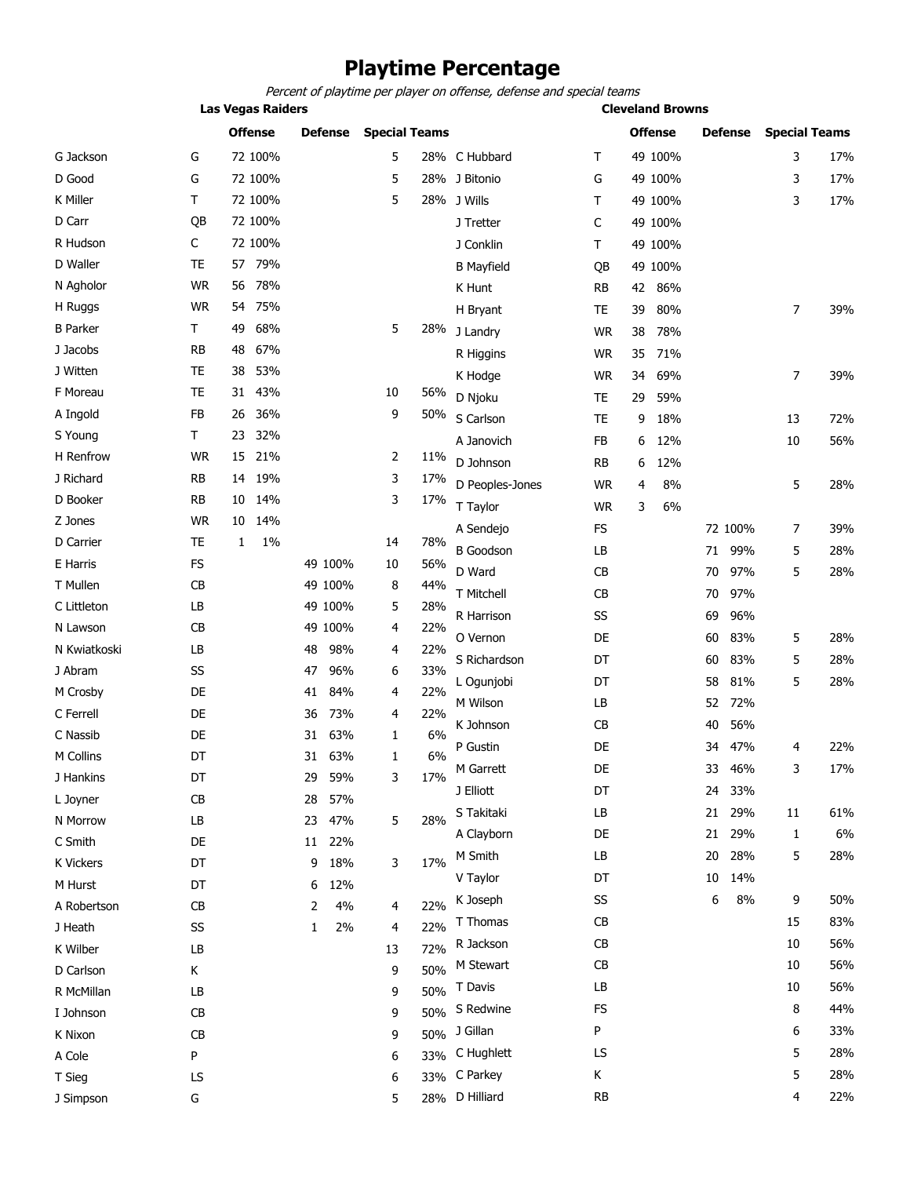### **Playtime Percentage**

Percent of playtime per player on offense, defense and special teams

|                  | <b>Las Vegas Raiders</b> |    |                |    |                |    |                      |                   |           | <b>Cleveland Browns</b> |                |    |                |                      |     |
|------------------|--------------------------|----|----------------|----|----------------|----|----------------------|-------------------|-----------|-------------------------|----------------|----|----------------|----------------------|-----|
|                  |                          |    | <b>Offense</b> |    | <b>Defense</b> |    | <b>Special Teams</b> |                   |           |                         | <b>Offense</b> |    | <b>Defense</b> | <b>Special Teams</b> |     |
| G Jackson        | G                        |    | 72 100%        |    |                | 5  |                      | 28% C Hubbard     | Т         |                         | 49 100%        |    |                | 3                    | 17% |
| D Good           | G                        |    | 72 100%        |    |                | 5  |                      | 28% J Bitonio     | G         |                         | 49 100%        |    |                | 3                    | 17% |
| <b>K Miller</b>  | T                        |    | 72 100%        |    |                | 5  |                      | 28% J Wills       | т         |                         | 49 100%        |    |                | 3                    | 17% |
| D Carr           | QB                       |    | 72 100%        |    |                |    |                      | J Tretter         | C         |                         | 49 100%        |    |                |                      |     |
| R Hudson         | C                        |    | 72 100%        |    |                |    |                      | J Conklin         | т         |                         | 49 100%        |    |                |                      |     |
| D Waller         | <b>TE</b>                | 57 | 79%            |    |                |    |                      | <b>B</b> Mayfield | QB        |                         | 49 100%        |    |                |                      |     |
| N Agholor        | <b>WR</b>                | 56 | 78%            |    |                |    |                      | K Hunt            | RB        | 42                      | 86%            |    |                |                      |     |
| H Ruggs          | <b>WR</b>                | 54 | 75%            |    |                |    |                      | H Bryant          | <b>TE</b> | 39                      | 80%            |    |                | $\overline{7}$       | 39% |
| <b>B</b> Parker  | T                        | 49 | 68%            |    |                | 5  | 28%                  | J Landry          | <b>WR</b> | 38                      | 78%            |    |                |                      |     |
| J Jacobs         | <b>RB</b>                | 48 | 67%            |    |                |    |                      | R Higgins         | <b>WR</b> | 35                      | 71%            |    |                |                      |     |
| J Witten         | <b>TE</b>                | 38 | 53%            |    |                |    |                      | K Hodge           | <b>WR</b> | 34                      | 69%            |    |                | $\overline{7}$       | 39% |
| F Moreau         | <b>TE</b>                | 31 | 43%            |    |                | 10 | 56%                  | D Njoku           | TE        | 29                      | 59%            |    |                |                      |     |
| A Ingold         | <b>FB</b>                | 26 | 36%            |    |                | 9  | 50%                  | S Carlson         | <b>TE</b> | 9                       | 18%            |    |                | 13                   | 72% |
| S Young          | T                        | 23 | 32%            |    |                |    |                      | A Janovich        | FB        | 6                       | 12%            |    |                | 10                   | 56% |
| H Renfrow        | <b>WR</b>                | 15 | 21%            |    |                | 2  | 11%                  | D Johnson         | <b>RB</b> | 6                       | 12%            |    |                |                      |     |
| J Richard        | RB                       | 14 | 19%            |    |                | 3  | 17%                  | D Peoples-Jones   | <b>WR</b> | 4                       | 8%             |    |                | 5                    | 28% |
| D Booker         | RB                       | 10 | 14%            |    |                | 3  | 17%                  | T Taylor          | <b>WR</b> | 3                       | 6%             |    |                |                      |     |
| Z Jones          | <b>WR</b>                | 10 | 14%            |    |                |    |                      | A Sendejo         | FS        |                         |                |    | 72 100%        | 7                    | 39% |
| D Carrier        | <b>TE</b>                | 1  | 1%             |    |                | 14 | 78%                  | <b>B</b> Goodson  | LB        |                         |                | 71 | 99%            | 5                    | 28% |
| E Harris         | <b>FS</b>                |    |                |    | 49 100%        | 10 | 56%                  | D Ward            | CB        |                         |                | 70 | 97%            | 5                    |     |
| T Mullen         | <b>CB</b>                |    |                |    | 49 100%        | 8  | 44%                  | T Mitchell        | CB        |                         |                |    | 97%            |                      | 28% |
| C Littleton      | LB                       |    |                |    | 49 100%        | 5  | 28%                  |                   |           |                         |                | 70 |                |                      |     |
| N Lawson         | CB                       |    |                |    | 49 100%        | 4  | 22%                  | R Harrison        | SS        |                         |                | 69 | 96%            |                      |     |
| N Kwiatkoski     | LB                       |    |                | 48 | 98%            | 4  | 22%                  | O Vernon          | DE        |                         |                | 60 | 83%            | 5                    | 28% |
| J Abram          | SS                       |    |                | 47 | 96%            | 6  | 33%                  | S Richardson      | DT        |                         |                | 60 | 83%            | 5                    | 28% |
| M Crosby         | DE                       |    |                | 41 | 84%            | 4  | 22%                  | L Ogunjobi        | DT        |                         |                | 58 | 81%            | 5                    | 28% |
| C Ferrell        | DE                       |    |                | 36 | 73%            | 4  | 22%                  | M Wilson          | LB        |                         |                | 52 | 72%            |                      |     |
| C Nassib         | DE                       |    |                | 31 | 63%            | 1  | 6%                   | K Johnson         | CB        |                         |                | 40 | 56%            |                      |     |
| M Collins        | DT                       |    |                | 31 | 63%            | 1  | 6%                   | P Gustin          | DE        |                         |                | 34 | 47%            | 4                    | 22% |
| J Hankins        | DT                       |    |                | 29 | 59%            | 3  | 17%                  | M Garrett         | DE        |                         |                | 33 | 46%            | 3                    | 17% |
| L Joyner         | CB                       |    |                | 28 | 57%            |    |                      | J Elliott         | DT        |                         |                | 24 | 33%            |                      |     |
| N Morrow         | LB                       |    |                | 23 | 47%            | 5  | 28%                  | S Takitaki        | LB        |                         |                | 21 | 29%            | 11                   | 61% |
| C Smith          | DE                       |    |                |    | 11 22%         |    |                      | A Clayborn        | DE        |                         |                | 21 | 29%            | 1                    | 6%  |
| <b>K Vickers</b> | DT                       |    |                | 9  | 18%            | 3  | 17%                  | M Smith           | LB        |                         |                | 20 | 28%            | 5                    | 28% |
| M Hurst          | DT                       |    |                | 6  | 12%            |    |                      | V Taylor          | DT        |                         |                | 10 | 14%            |                      |     |
| A Robertson      | CB                       |    |                | 2  | 4%             | 4  | 22%                  | K Joseph          | SS        |                         |                | 6  | 8%             | 9                    | 50% |
| J Heath          | SS                       |    |                | 1  | 2%             | 4  | 22%                  | T Thomas          | <b>CB</b> |                         |                |    |                | 15                   | 83% |
| K Wilber         | LB                       |    |                |    |                | 13 | 72%                  | R Jackson         | CB        |                         |                |    |                | 10                   | 56% |
| D Carlson        | Κ                        |    |                |    |                | 9  | 50%                  | M Stewart         | CB        |                         |                |    |                | 10                   | 56% |
| R McMillan       | LB                       |    |                |    |                | 9  | 50%                  | T Davis           | LB        |                         |                |    |                | 10                   | 56% |
| I Johnson        | CB                       |    |                |    |                | 9  | 50%                  | S Redwine         | FS        |                         |                |    |                | 8                    | 44% |
| K Nixon          | CB                       |    |                |    |                | 9  |                      | 50% J Gillan      | P         |                         |                |    |                | 6                    | 33% |
| A Cole           | P                        |    |                |    |                | 6  |                      | 33% C Hughlett    | LS        |                         |                |    |                | 5                    | 28% |
| T Sieg           | LS                       |    |                |    |                | 6  |                      | 33% C Parkey      | К         |                         |                |    |                | 5                    | 28% |
| J Simpson        | G                        |    |                |    |                | 5  |                      | 28% D Hilliard    | <b>RB</b> |                         |                |    |                | 4                    | 22% |